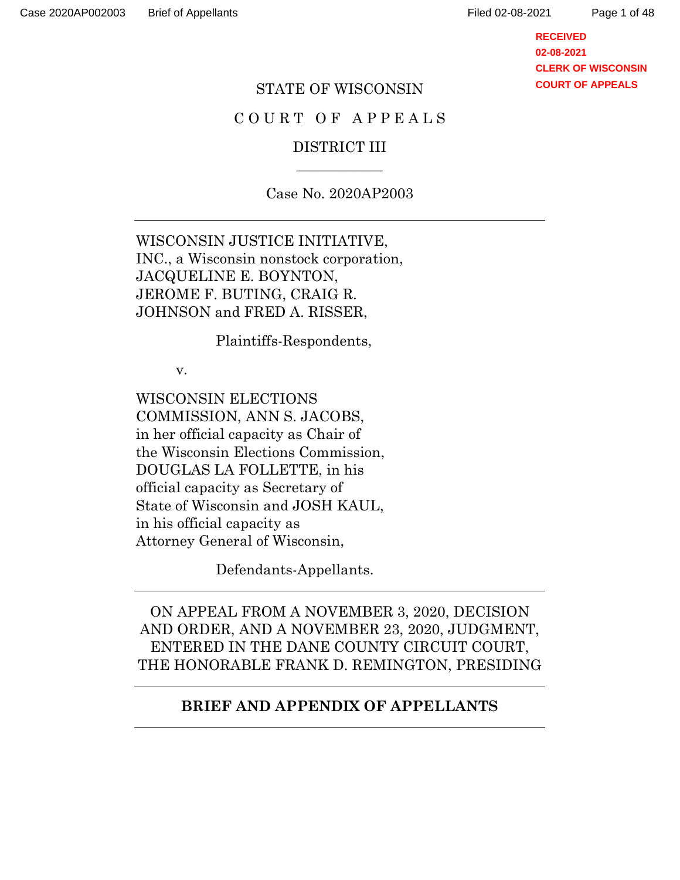Page 1 of 48

**RECEIVED 02-08-2021 CLERK OF WISCONSIN COURT OF APPEALS**

#### STATE OF WISCONSIN

#### COURT OF APPEALS

### DISTRICT III  $\overline{\phantom{a}}$

Case No. 2020AP2003

WISCONSIN JUSTICE INITIATIVE, INC., a Wisconsin nonstock corporation, JACQUELINE E. BOYNTON, JEROME F. BUTING, CRAIG R. JOHNSON and FRED A. RISSER,

Plaintiffs-Respondents,

v.

WISCONSIN ELECTIONS COMMISSION, ANN S. JACOBS, in her official capacity as Chair of the Wisconsin Elections Commission, DOUGLAS LA FOLLETTE, in his official capacity as Secretary of State of Wisconsin and JOSH KAUL, in his official capacity as Attorney General of Wisconsin,

Defendants-Appellants.

ON APPEAL FROM A NOVEMBER 3, 2020, DECISION AND ORDER, AND A NOVEMBER 23, 2020, JUDGMENT, ENTERED IN THE DANE COUNTY CIRCUIT COURT, THE HONORABLE FRANK D. REMINGTON, PRESIDING

#### **BRIEF AND APPENDIX OF APPELLANTS**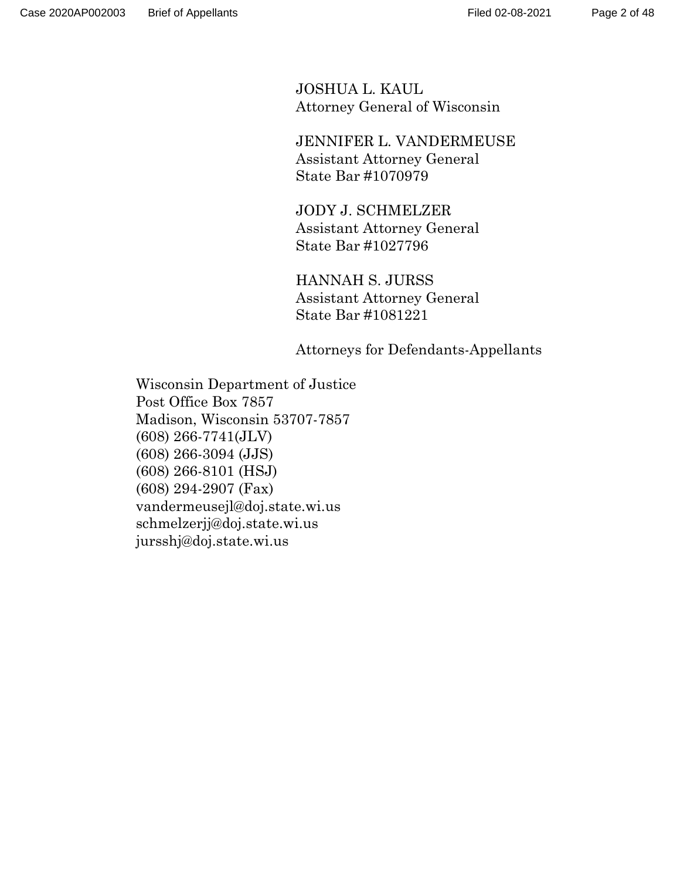JOSHUA L. KAUL Attorney General of Wisconsin

 JENNIFER L. VANDERMEUSE Assistant Attorney General State Bar #1070979

 JODY J. SCHMELZER Assistant Attorney General State Bar #1027796

 HANNAH S. JURSS Assistant Attorney General State Bar #1081221

Attorneys for Defendants-Appellants

Wisconsin Department of Justice Post Office Box 7857 Madison, Wisconsin 53707-7857 (608) 266-7741(JLV) (608) 266-3094 (JJS) (608) 266-8101 (HSJ) (608) 294-2907 (Fax) vandermeusejl@doj.state.wi.us schmelzerjj@doj.state.wi.us jursshj@doj.state.wi.us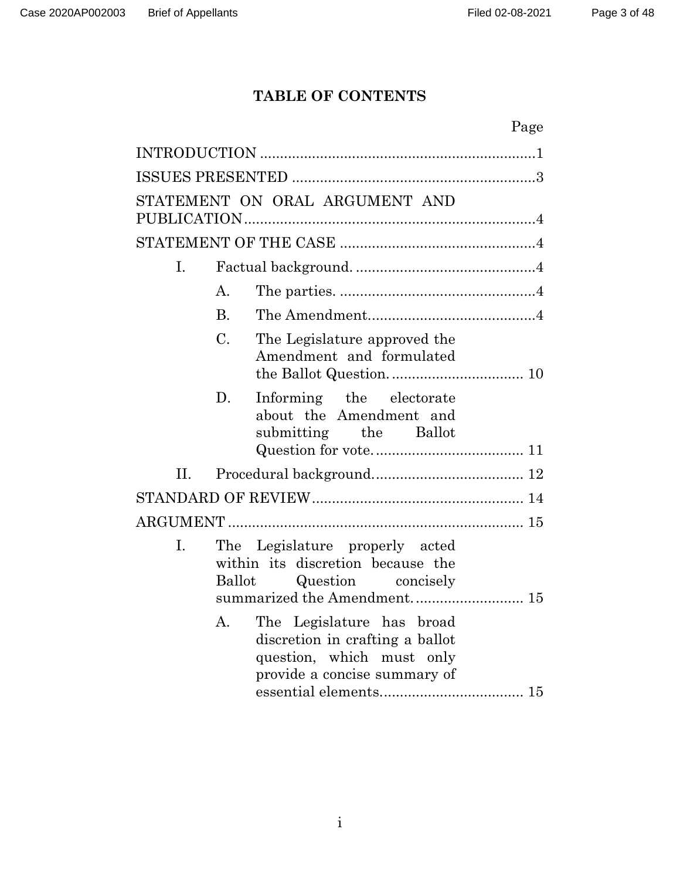# **TABLE OF CONTENTS**

|                                                                                                                                                 | Page |
|-------------------------------------------------------------------------------------------------------------------------------------------------|------|
|                                                                                                                                                 |      |
|                                                                                                                                                 |      |
| STATEMENT ON ORAL ARGUMENT AND                                                                                                                  |      |
|                                                                                                                                                 |      |
| I.                                                                                                                                              |      |
| $\mathbf{A}$ .                                                                                                                                  |      |
| $\mathbf{B}$ .                                                                                                                                  |      |
| $\mathcal{C}$ .<br>The Legislature approved the<br>Amendment and formulated                                                                     |      |
| D.<br>Informing the electorate<br>about the Amendment and<br>submitting the Ballot                                                              |      |
| II.                                                                                                                                             |      |
|                                                                                                                                                 |      |
|                                                                                                                                                 |      |
| The Legislature properly acted<br>I.<br>within its discretion because the<br><b>Ballot</b><br>Question concisely<br>summarized the Amendment 15 |      |
| The Legislature has broad<br>A.<br>discretion in crafting a ballot<br>question, which must only<br>provide a concise summary of                 |      |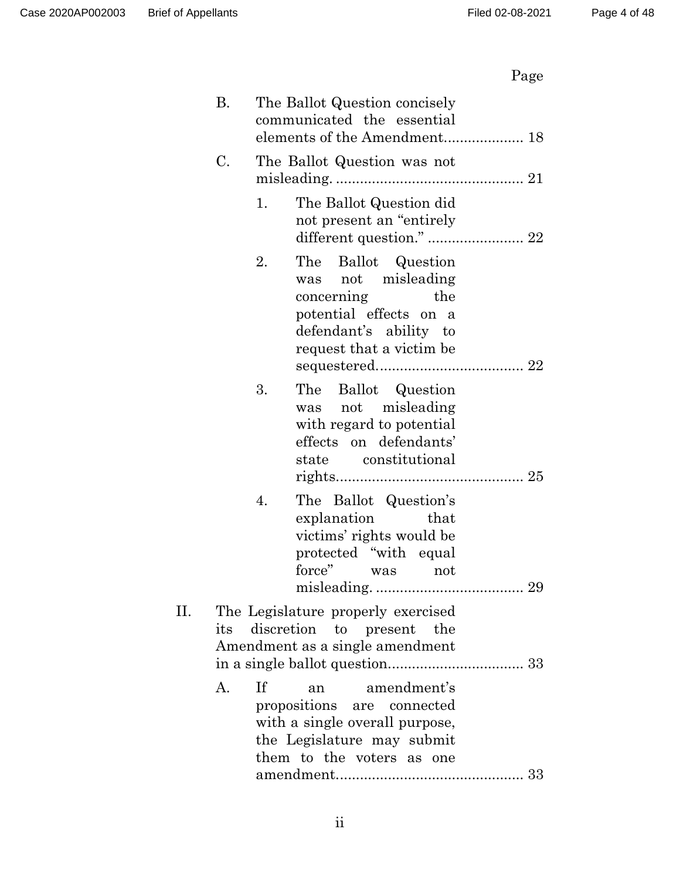# Page

|     | В. |           | The Ballot Question concisely<br>communicated the essential<br>elements of the Amendment 18                                                    |
|-----|----|-----------|------------------------------------------------------------------------------------------------------------------------------------------------|
|     | C. |           | The Ballot Question was not                                                                                                                    |
|     |    | 1.        | The Ballot Question did<br>not present an "entirely"<br>different question."  22                                                               |
|     |    | 2.        | The Ballot Question<br>was not misleading<br>concerning<br>the<br>potential effects on a<br>defendant's ability to<br>request that a victim be |
|     |    | 3.        | The<br>Ballot Question<br>was not misleading<br>with regard to potential<br>effects on defendants'<br>state constitutional                     |
|     |    | 4.        | The Ballot Question's<br>explanation<br>that<br>victims' rights would be<br>protected "with equal"<br>force" was<br>not                        |
| II. |    |           | The Legislature properly exercised<br>its discretion to present the<br>Amendment as a single amendment                                         |
|     | A. | <b>If</b> | amendment's<br>an<br>propositions are connected<br>with a single overall purpose,<br>the Legislature may submit<br>them to the voters as one   |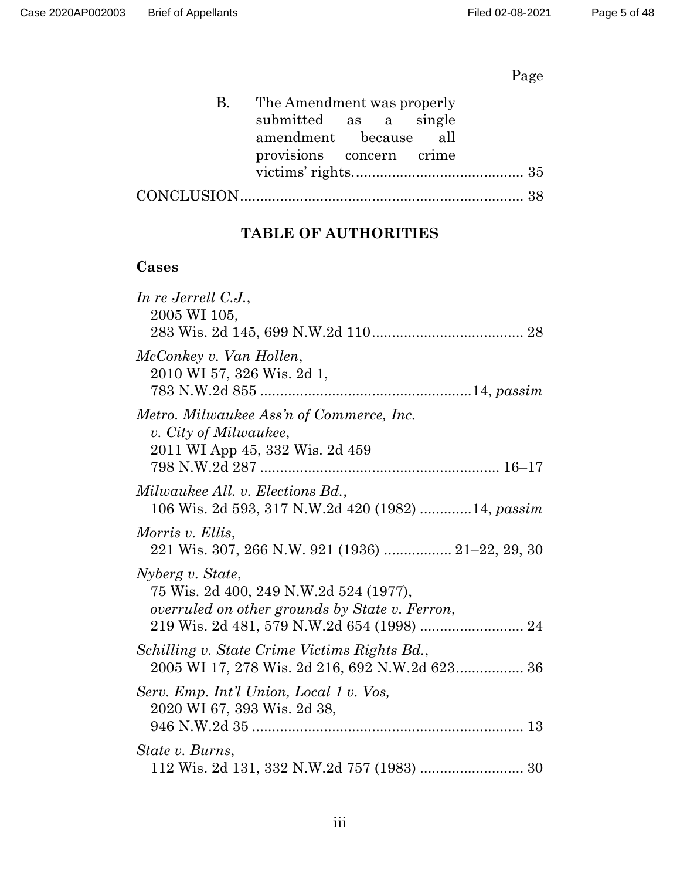# Page

| B. The Amendment was properly |  |  |
|-------------------------------|--|--|
| submitted as a single         |  |  |
| amendment because all         |  |  |
| provisions concern crime      |  |  |
|                               |  |  |
|                               |  |  |

## **TABLE OF AUTHORITIES**

## **Cases**

| In re Jerrell C.J.,<br>2005 WI 105,                                                                          |
|--------------------------------------------------------------------------------------------------------------|
| McConkey v. Van Hollen,<br>2010 WI 57, 326 Wis. 2d 1,                                                        |
| Metro. Milwaukee Ass'n of Commerce, Inc.<br>v. City of Milwaukee,<br>2011 WI App 45, 332 Wis. 2d 459         |
| Milwaukee All. v. Elections Bd.,<br>106 Wis. 2d 593, 317 N.W.2d 420 (1982) 14, passim                        |
| Morris v. Ellis,<br>221 Wis. 307, 266 N.W. 921 (1936)  21–22, 29, 30                                         |
| Nyberg v. State,<br>75 Wis. 2d 400, 249 N.W.2d 524 (1977),<br>overruled on other grounds by State v. Ferron, |
| Schilling v. State Crime Victims Rights Bd.,<br>2005 WI 17, 278 Wis. 2d 216, 692 N.W.2d 623 36               |
| Serv. Emp. Int'l Union, Local 1 v. Vos,<br>2020 WI 67, 393 Wis. 2d 38,                                       |
| State v. Burns,                                                                                              |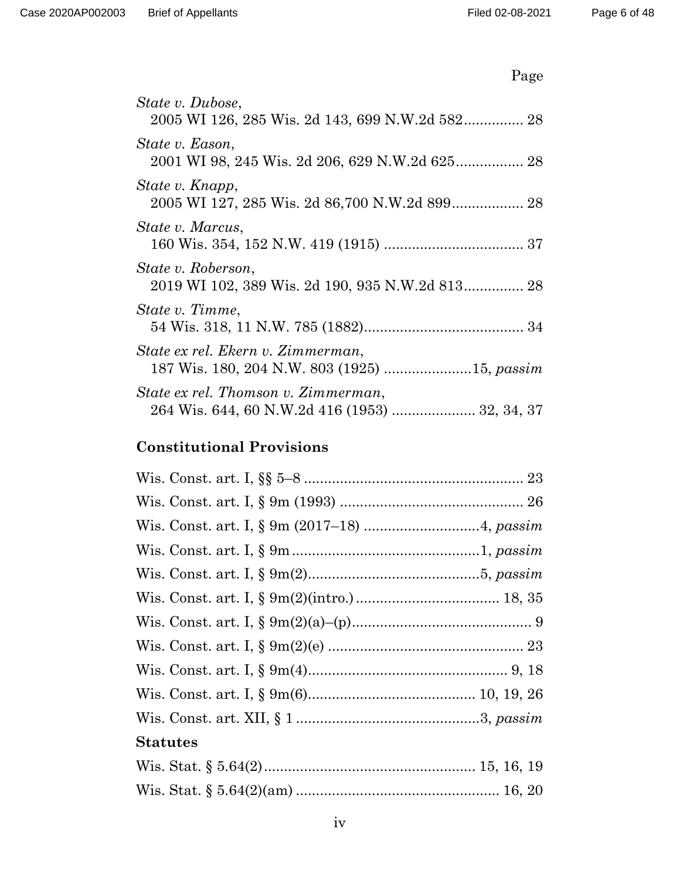| State v. Dubose,<br>2005 WI 126, 285 Wis. 2d 143, 699 N.W.2d 582 28                   |
|---------------------------------------------------------------------------------------|
| State v. Eason,<br>2001 WI 98, 245 Wis. 2d 206, 629 N.W.2d 625 28                     |
| State v. Knapp,                                                                       |
| State v. Marcus,                                                                      |
| <i>State v. Roberson,</i><br>2019 WI 102, 389 Wis. 2d 190, 935 N.W.2d 813 28          |
| State v. Timme,                                                                       |
| State ex rel. Ekern v. Zimmerman,                                                     |
| State ex rel. Thomson v. Zimmerman,<br>264 Wis. 644, 60 N.W.2d 416 (1953)  32, 34, 37 |

## **Constitutional Provisions**

| <b>Statutes</b> |  |
|-----------------|--|
|                 |  |
|                 |  |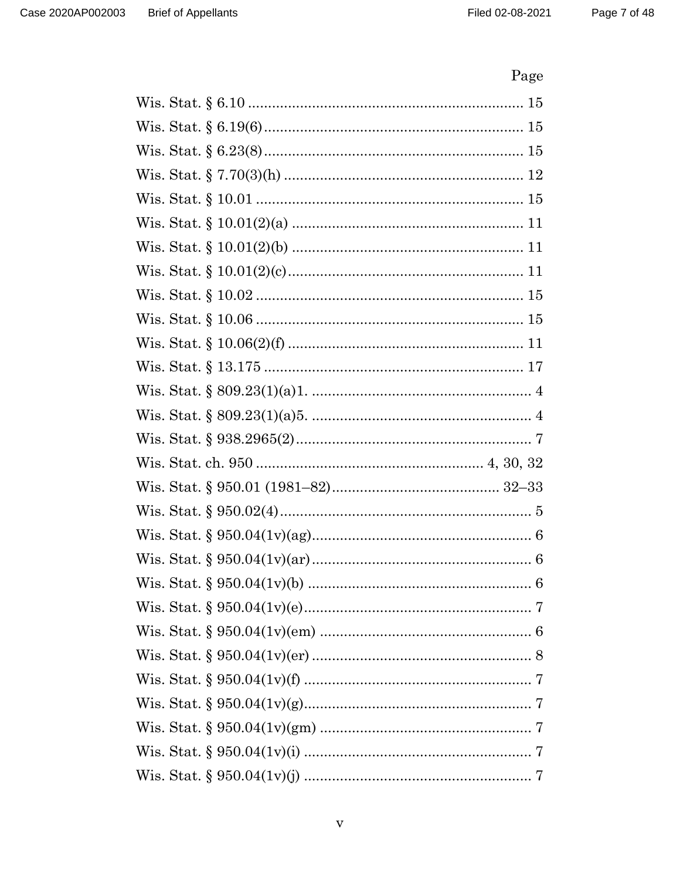# Page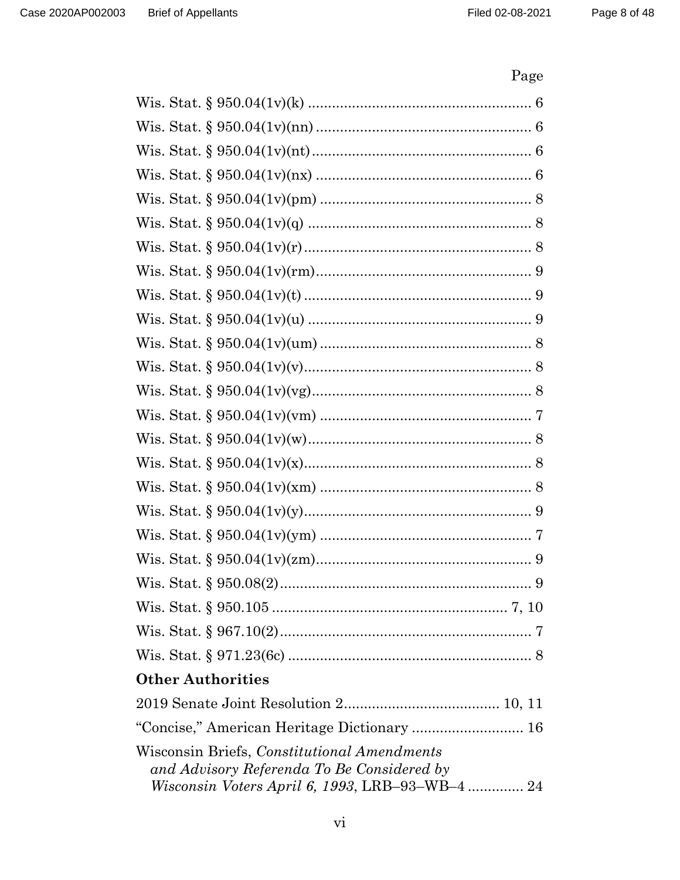# Page

| <b>Other Authorities</b>                                                                         |
|--------------------------------------------------------------------------------------------------|
|                                                                                                  |
| "Concise," American Heritage Dictionary  16                                                      |
| Wisconsin Briefs, <i>Constitutional Amendments</i><br>and Advisory Referenda To Be Considered by |
| <i>Wisconsin Voters April 6, 1993, LRB-93-WB-4 </i> 24                                           |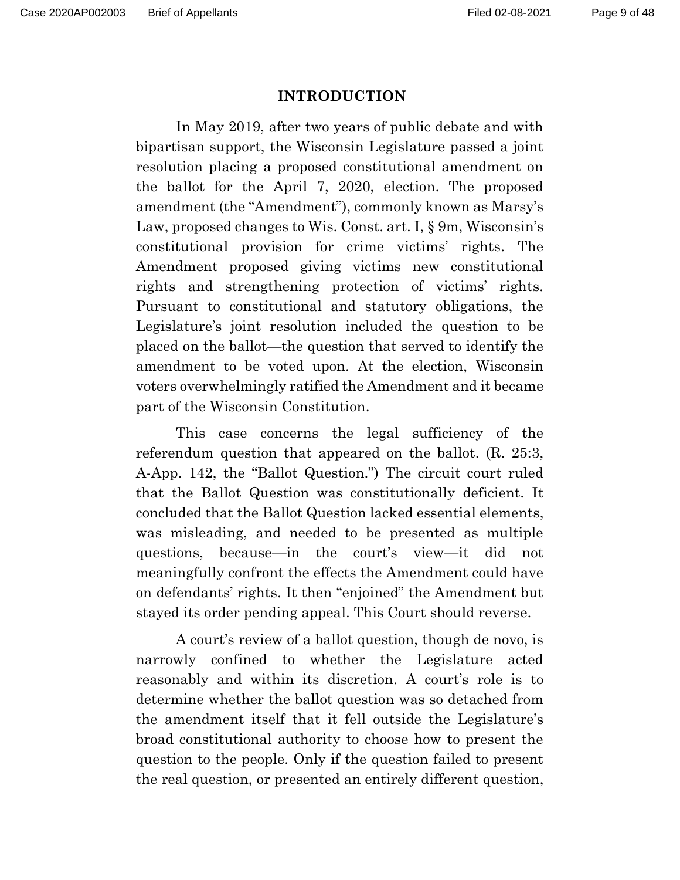#### **INTRODUCTION**

 In May 2019, after two years of public debate and with bipartisan support, the Wisconsin Legislature passed a joint resolution placing a proposed constitutional amendment on the ballot for the April 7, 2020, election. The proposed amendment (the "Amendment"), commonly known as Marsy's Law, proposed changes to Wis. Const. art. I,  $\S$  9m, Wisconsin's constitutional provision for crime victims' rights. The Amendment proposed giving victims new constitutional rights and strengthening protection of victims' rights. Pursuant to constitutional and statutory obligations, the Legislature's joint resolution included the question to be placed on the ballot—the question that served to identify the amendment to be voted upon. At the election, Wisconsin voters overwhelmingly ratified the Amendment and it became part of the Wisconsin Constitution.

 This case concerns the legal sufficiency of the referendum question that appeared on the ballot. (R. 25:3, A-App. 142, the "Ballot Question.") The circuit court ruled that the Ballot Question was constitutionally deficient. It concluded that the Ballot Question lacked essential elements, was misleading, and needed to be presented as multiple questions, because—in the court's view—it did not meaningfully confront the effects the Amendment could have on defendants' rights. It then "enjoined" the Amendment but stayed its order pending appeal. This Court should reverse.

 A court's review of a ballot question, though de novo, is narrowly confined to whether the Legislature acted reasonably and within its discretion. A court's role is to determine whether the ballot question was so detached from the amendment itself that it fell outside the Legislature's broad constitutional authority to choose how to present the question to the people. Only if the question failed to present the real question, or presented an entirely different question,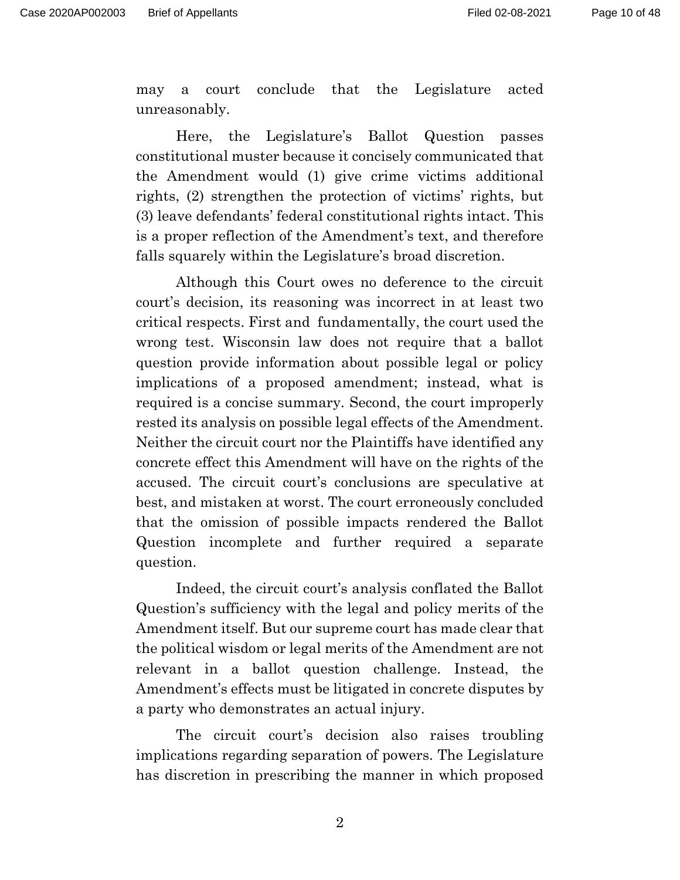may a court conclude that the Legislature acted unreasonably.

 Here, the Legislature's Ballot Question passes constitutional muster because it concisely communicated that the Amendment would (1) give crime victims additional rights, (2) strengthen the protection of victims' rights, but (3) leave defendants' federal constitutional rights intact. This is a proper reflection of the Amendment's text, and therefore falls squarely within the Legislature's broad discretion.

 Although this Court owes no deference to the circuit court's decision, its reasoning was incorrect in at least two critical respects. First and fundamentally, the court used the wrong test. Wisconsin law does not require that a ballot question provide information about possible legal or policy implications of a proposed amendment; instead, what is required is a concise summary. Second, the court improperly rested its analysis on possible legal effects of the Amendment. Neither the circuit court nor the Plaintiffs have identified any concrete effect this Amendment will have on the rights of the accused. The circuit court's conclusions are speculative at best, and mistaken at worst. The court erroneously concluded that the omission of possible impacts rendered the Ballot Question incomplete and further required a separate question.

 Indeed, the circuit court's analysis conflated the Ballot Question's sufficiency with the legal and policy merits of the Amendment itself. But our supreme court has made clear that the political wisdom or legal merits of the Amendment are not relevant in a ballot question challenge. Instead, the Amendment's effects must be litigated in concrete disputes by a party who demonstrates an actual injury.

 The circuit court's decision also raises troubling implications regarding separation of powers. The Legislature has discretion in prescribing the manner in which proposed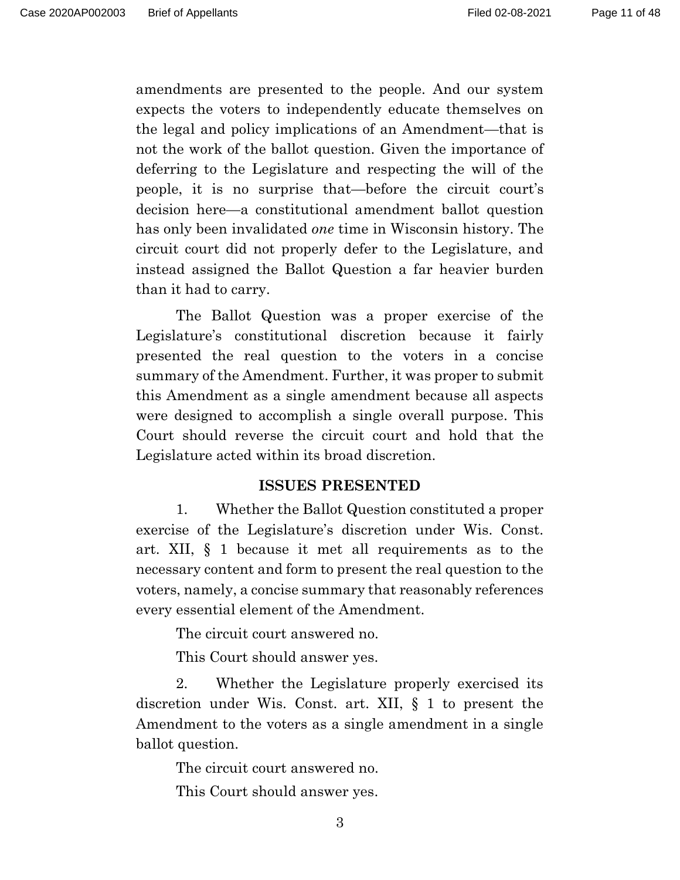amendments are presented to the people. And our system expects the voters to independently educate themselves on the legal and policy implications of an Amendment—that is not the work of the ballot question. Given the importance of deferring to the Legislature and respecting the will of the people, it is no surprise that—before the circuit court's decision here—a constitutional amendment ballot question has only been invalidated *one* time in Wisconsin history. The circuit court did not properly defer to the Legislature, and instead assigned the Ballot Question a far heavier burden than it had to carry.

 The Ballot Question was a proper exercise of the Legislature's constitutional discretion because it fairly presented the real question to the voters in a concise summary of the Amendment. Further, it was proper to submit this Amendment as a single amendment because all aspects were designed to accomplish a single overall purpose. This Court should reverse the circuit court and hold that the Legislature acted within its broad discretion.

#### **ISSUES PRESENTED**

 1. Whether the Ballot Question constituted a proper exercise of the Legislature's discretion under Wis. Const. art. XII, § 1 because it met all requirements as to the necessary content and form to present the real question to the voters, namely, a concise summary that reasonably references every essential element of the Amendment.

The circuit court answered no.

This Court should answer yes.

 2. Whether the Legislature properly exercised its discretion under Wis. Const. art. XII, § 1 to present the Amendment to the voters as a single amendment in a single ballot question.

The circuit court answered no.

This Court should answer yes.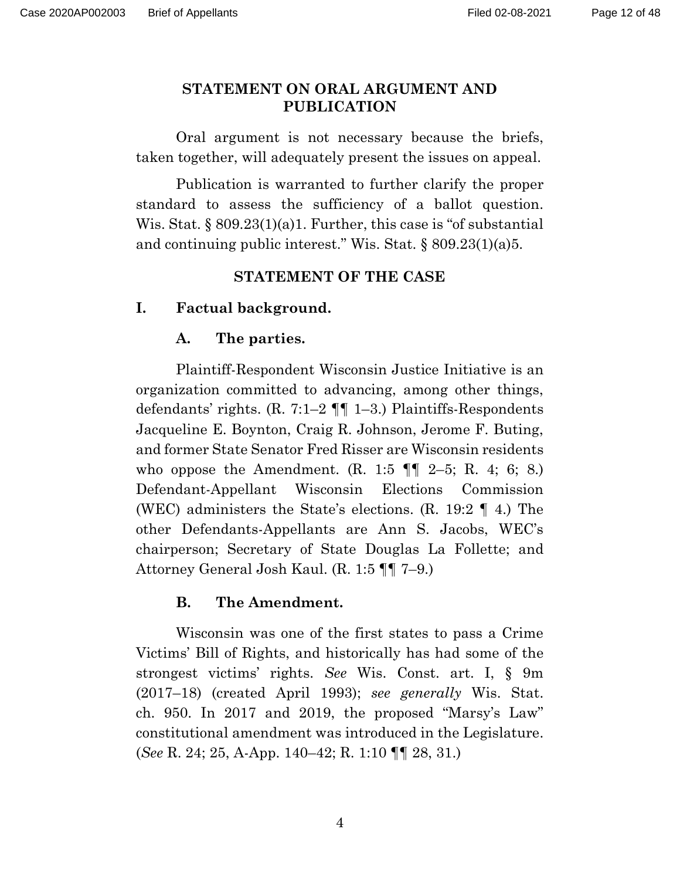#### **STATEMENT ON ORAL ARGUMENT AND PUBLICATION**

 Oral argument is not necessary because the briefs, taken together, will adequately present the issues on appeal.

 Publication is warranted to further clarify the proper standard to assess the sufficiency of a ballot question. Wis. Stat.  $\S 809.23(1)(a)1$ . Further, this case is "of substantial and continuing public interest." Wis. Stat. § 809.23(1)(a)5.

#### **STATEMENT OF THE CASE**

#### **I. Factual background.**

#### **A. The parties.**

 Plaintiff-Respondent Wisconsin Justice Initiative is an organization committed to advancing, among other things, defendants' rights. (R. 7:1–2  $\P\P$  1–3.) Plaintiffs-Respondents Jacqueline E. Boynton, Craig R. Johnson, Jerome F. Buting, and former State Senator Fred Risser are Wisconsin residents who oppose the Amendment. (R. 1:5  $\P$   $\P$   $2-5$ ; R. 4; 6; 8.) Defendant-Appellant Wisconsin Elections Commission (WEC) administers the State's elections. (R. 19:2 ¶ 4.) The other Defendants-Appellants are Ann S. Jacobs, WEC's chairperson; Secretary of State Douglas La Follette; and Attorney General Josh Kaul. (R. 1:5 ¶¶ 7–9.)

#### **B. The Amendment.**

Wisconsin was one of the first states to pass a Crime Victims' Bill of Rights, and historically has had some of the strongest victims' rights. *See* Wis. Const. art. I, § 9m (2017–18) (created April 1993); *see generally* Wis. Stat. ch. 950. In 2017 and 2019, the proposed "Marsy's Law" constitutional amendment was introduced in the Legislature. (*See* R. 24; 25, A-App. 140–42; R. 1:10 ¶¶ 28, 31.)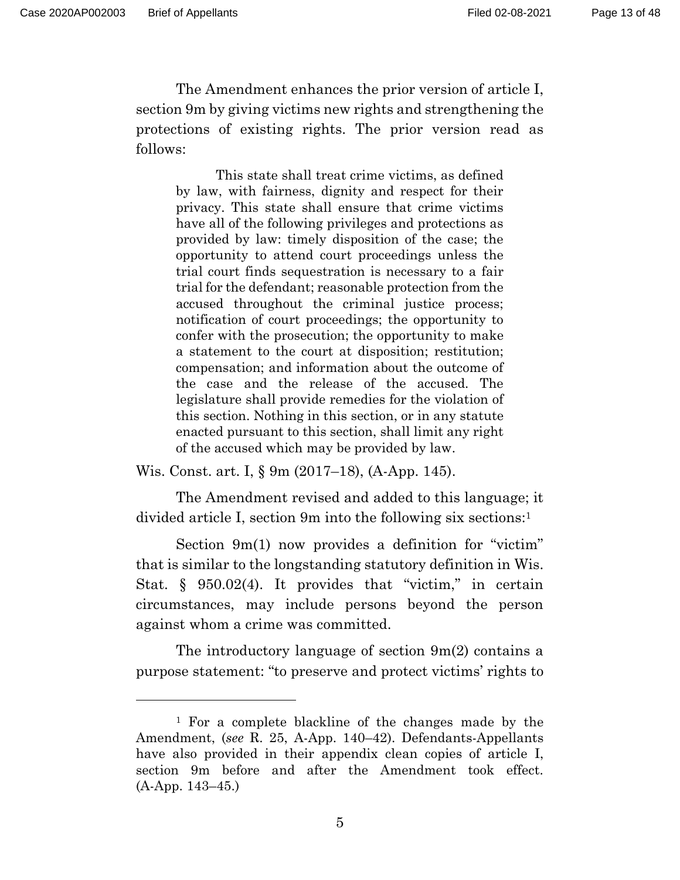The Amendment enhances the prior version of article I, section 9m by giving victims new rights and strengthening the protections of existing rights. The prior version read as follows:

This state shall treat crime victims, as defined by law, with fairness, dignity and respect for their privacy. This state shall ensure that crime victims have all of the following privileges and protections as provided by law: timely disposition of the case; the opportunity to attend court proceedings unless the trial court finds sequestration is necessary to a fair trial for the defendant; reasonable protection from the accused throughout the criminal justice process; notification of court proceedings; the opportunity to confer with the prosecution; the opportunity to make a statement to the court at disposition; restitution; compensation; and information about the outcome of the case and the release of the accused. The legislature shall provide remedies for the violation of this section. Nothing in this section, or in any statute enacted pursuant to this section, shall limit any right of the accused which may be provided by law.

Wis. Const. art. I, § 9m (2017–18), (A-App. 145).

 The Amendment revised and added to this language; it divided article I, section 9m into the following six sections:1

 Section 9m(1) now provides a definition for "victim" that is similar to the longstanding statutory definition in Wis. Stat.  $\S$  950.02(4). It provides that "victim," in certain circumstances, may include persons beyond the person against whom a crime was committed.

 The introductory language of section 9m(2) contains a purpose statement: "to preserve and protect victims' rights to

<sup>1</sup> For a complete blackline of the changes made by the Amendment, (*see* R. 25, A-App. 140–42). Defendants-Appellants have also provided in their appendix clean copies of article I, section 9m before and after the Amendment took effect. (A-App. 143–45.)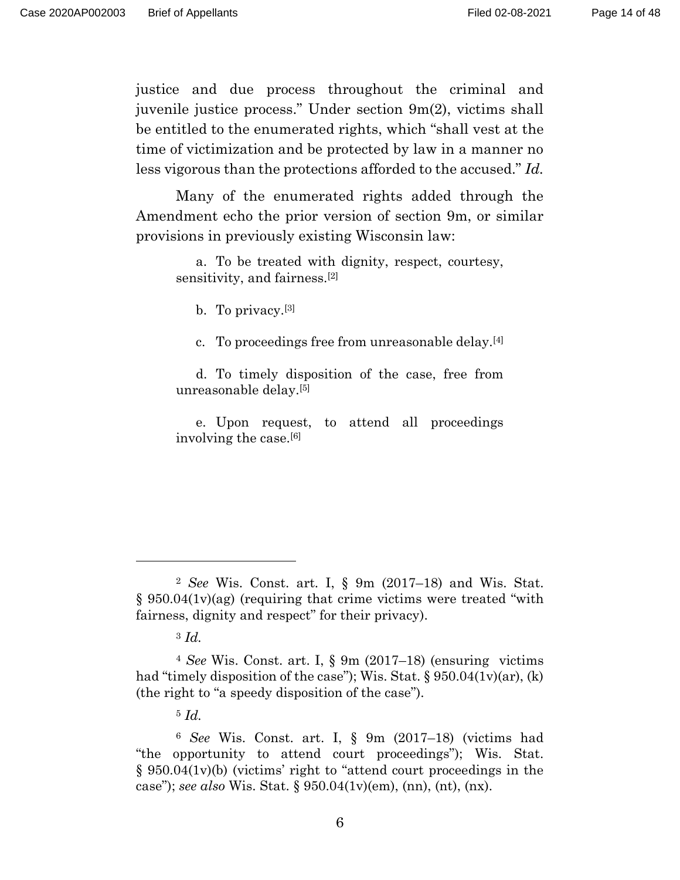justice and due process throughout the criminal and juvenile justice process." Under section 9m(2), victims shall be entitled to the enumerated rights, which "shall vest at the time of victimization and be protected by law in a manner no less vigorous than the protections afforded to the accused." *Id.*

 Many of the enumerated rights added through the Amendment echo the prior version of section 9m, or similar provisions in previously existing Wisconsin law:

a. To be treated with dignity, respect, courtesy, sensitivity, and fairness.[2]

b. To privacy.[3]

c. To proceedings free from unreasonable delay.[4]

d. To timely disposition of the case, free from unreasonable delay.[5]

e. Upon request, to attend all proceedings involving the case.[6]

<sup>2</sup> *See* Wis. Const. art. I, § 9m (2017–18) and Wis. Stat. § 950.04(1v)(ag) (requiring that crime victims were treated "with fairness, dignity and respect" for their privacy).

<sup>3</sup> *Id.* 

<sup>4</sup> *See* Wis. Const. art. I, § 9m (2017–18) (ensuring victims had "timely disposition of the case"); Wis. Stat.  $\S 950.04(1v)(ar)$ , (k) (the right to "a speedy disposition of the case").

<sup>5</sup> *Id.* 

<sup>6</sup> *See* Wis. Const. art. I, § 9m (2017–18) (victims had "the opportunity to attend court proceedings"); Wis. Stat. § 950.04(1v)(b) (victims' right to "attend court proceedings in the case"); *see also* Wis. Stat. § 950.04(1v)(em), (nn), (nt), (nx).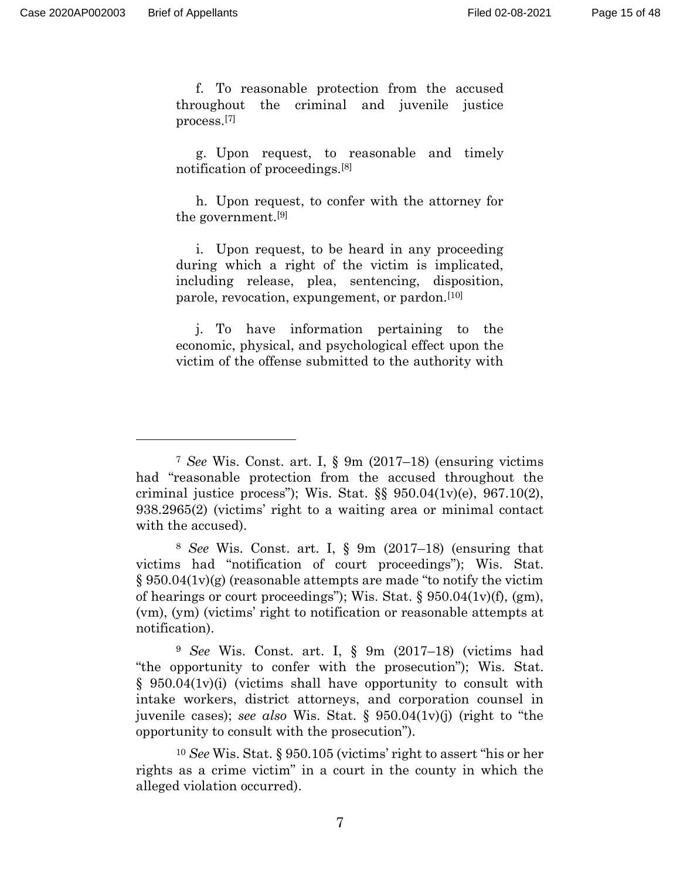f. To reasonable protection from the accused throughout the criminal and juvenile justice process.[7]

g. Upon request, to reasonable and timely notification of proceedings.[8]

h. Upon request, to confer with the attorney for the government.[9]

i. Upon request, to be heard in any proceeding during which a right of the victim is implicated, including release, plea, sentencing, disposition, parole, revocation, expungement, or pardon.[10]

j. To have information pertaining to the economic, physical, and psychological effect upon the victim of the offense submitted to the authority with

<sup>7</sup> *See* Wis. Const. art. I, § 9m (2017–18) (ensuring victims had "reasonable protection from the accused throughout the criminal justice process"); Wis. Stat.  $\S$   $950.04(1v)(e)$ ,  $967.10(2)$ , 938.2965(2) (victims' right to a waiting area or minimal contact with the accused).

<sup>8</sup> *See* Wis. Const. art. I, § 9m (2017–18) (ensuring that victims had "notification of court proceedings"); Wis. Stat.  $\S 950.04(1v)(g)$  (reasonable attempts are made "to notify the victim of hearings or court proceedings"); Wis. Stat.  $\S 950.04(1 \text{v})(f)$ , (gm), (vm), (ym) (victims' right to notification or reasonable attempts at notification).

<sup>9</sup> *See* Wis. Const. art. I, § 9m (2017–18) (victims had "the opportunity to confer with the prosecution"); Wis. Stat.  $\S$  950.04(1v)(i) (victims shall have opportunity to consult with intake workers, district attorneys, and corporation counsel in juvenile cases); *see also* Wis. Stat. § 950.04(1v)(j) (right to "the opportunity to consult with the prosecution").

<sup>10</sup> *See* Wis. Stat. § 950.105 (victims' right to assert "his or her rights as a crime victim" in a court in the county in which the alleged violation occurred).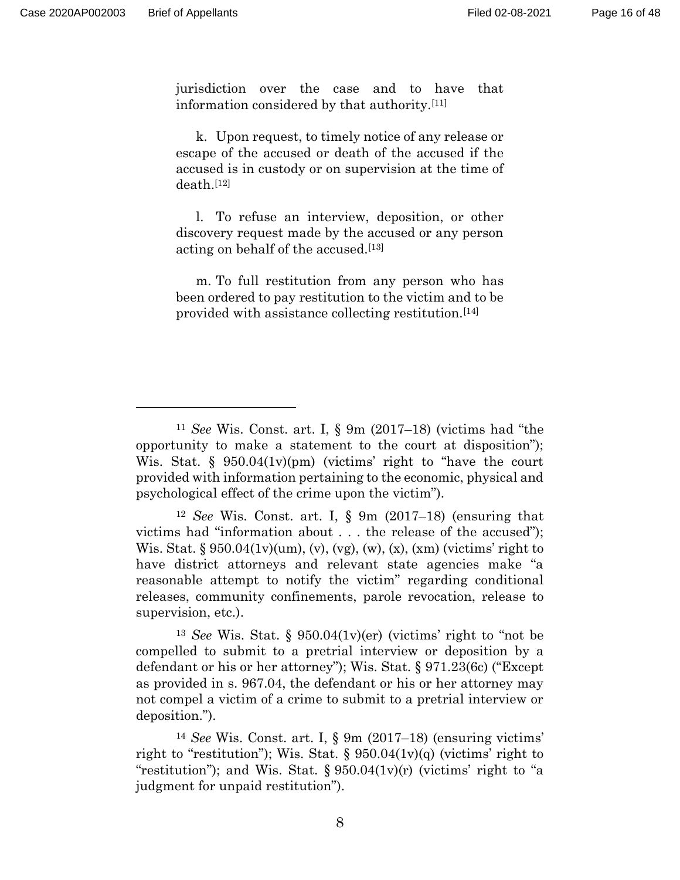jurisdiction over the case and to have that information considered by that authority.[11]

k. Upon request, to timely notice of any release or escape of the accused or death of the accused if the accused is in custody or on supervision at the time of death.[12]

l. To refuse an interview, deposition, or other discovery request made by the accused or any person acting on behalf of the accused.[13]

m. To full restitution from any person who has been ordered to pay restitution to the victim and to be provided with assistance collecting restitution.[14]

<sup>11</sup> *See* Wis. Const. art. I, § 9m (2017–18) (victims had "the opportunity to make a statement to the court at disposition"); Wis. Stat. § 950.04(1v)(pm) (victims' right to "have the court provided with information pertaining to the economic, physical and psychological effect of the crime upon the victim").

<sup>12</sup> *See* Wis. Const. art. I, § 9m (2017–18) (ensuring that victims had "information about . . . the release of the accused"); Wis. Stat. §  $950.04(1v)(um)$ , (v), (vg), (w), (x), (xm) (victims' right to have district attorneys and relevant state agencies make "a reasonable attempt to notify the victim" regarding conditional releases, community confinements, parole revocation, release to supervision, etc.).

<sup>13</sup> *See* Wis. Stat. § 950.04(1v)(er) (victims' right to "not be compelled to submit to a pretrial interview or deposition by a defendant or his or her attorney"); Wis. Stat. § 971.23(6c) ("Except as provided in s. 967.04, the defendant or his or her attorney may not compel a victim of a crime to submit to a pretrial interview or deposition.").

<sup>14</sup> *See* Wis. Const. art. I, § 9m (2017–18) (ensuring victims' right to "restitution"); Wis. Stat.  $\S$  950.04(1v)(q) (victims' right to "restitution"); and Wis. Stat.  $\S 950.04(1v)(r)$  (victims' right to "a judgment for unpaid restitution").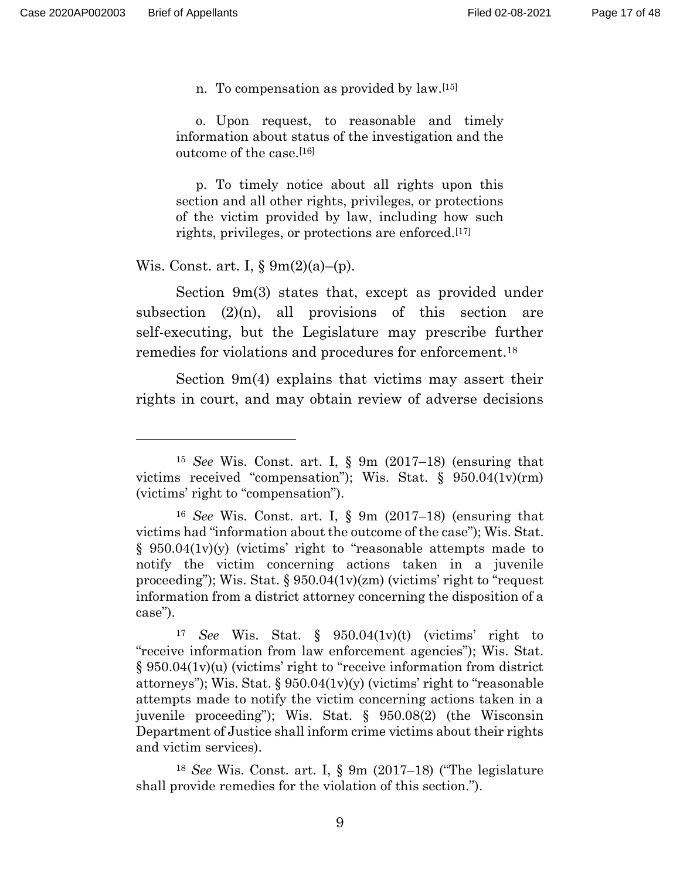n. To compensation as provided by law.[15]

o. Upon request, to reasonable and timely information about status of the investigation and the outcome of the case.[16]

p. To timely notice about all rights upon this section and all other rights, privileges, or protections of the victim provided by law, including how such rights, privileges, or protections are enforced.[17]

Wis. Const. art. I,  $\S \ \ 9m(2)(a)$ –(p).

 Section 9m(3) states that, except as provided under subsection  $(2)(n)$ , all provisions of this section are self-executing, but the Legislature may prescribe further remedies for violations and procedures for enforcement.18

 Section 9m(4) explains that victims may assert their rights in court, and may obtain review of adverse decisions

<sup>15</sup> *See* Wis. Const. art. I, § 9m (2017–18) (ensuring that victims received "compensation"); Wis. Stat. § 950.04(1v)(rm) (victims' right to "compensation").

<sup>16</sup> *See* Wis. Const. art. I, § 9m (2017–18) (ensuring that victims had "information about the outcome of the case"); Wis. Stat.  $\S$  950.04(1v)(y) (victims' right to "reasonable attempts made to notify the victim concerning actions taken in a juvenile proceeding"); Wis. Stat. § 950.04(1v)(zm) (victims' right to "request information from a district attorney concerning the disposition of a case").

<sup>17</sup> *See* Wis. Stat. § 950.04(1v)(t) (victims' right to "receive information from law enforcement agencies"); Wis. Stat. § 950.04(1v)(u) (victims' right to "receive information from district attorneys"); Wis. Stat.  $\S 950.04(1v)(y)$  (victims' right to "reasonable" attempts made to notify the victim concerning actions taken in a juvenile proceeding"); Wis. Stat. § 950.08(2) (the Wisconsin Department of Justice shall inform crime victims about their rights and victim services).

<sup>18</sup> *See* Wis. Const. art. I, § 9m (2017–18) ("The legislature shall provide remedies for the violation of this section.").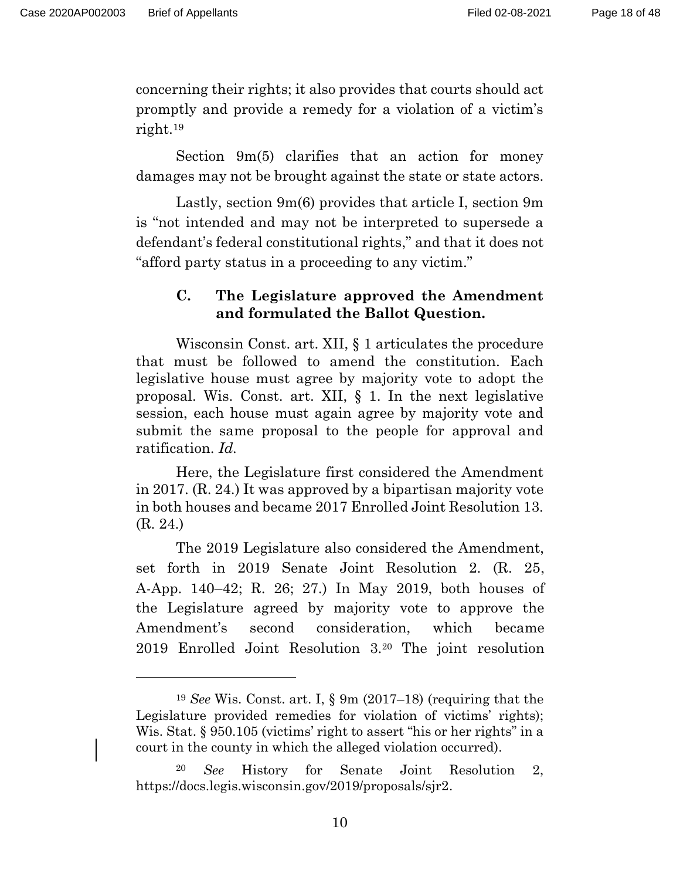concerning their rights; it also provides that courts should act promptly and provide a remedy for a violation of a victim's right.19

Section 9m(5) clarifies that an action for money damages may not be brought against the state or state actors.

 Lastly, section 9m(6) provides that article I, section 9m is "not intended and may not be interpreted to supersede a defendant's federal constitutional rights," and that it does not "afford party status in a proceeding to any victim."

## **C. The Legislature approved the Amendment and formulated the Ballot Question.**

Wisconsin Const. art. XII, § 1 articulates the procedure that must be followed to amend the constitution. Each legislative house must agree by majority vote to adopt the proposal. Wis. Const. art. XII, § 1. In the next legislative session, each house must again agree by majority vote and submit the same proposal to the people for approval and ratification. *Id.*

Here, the Legislature first considered the Amendment in 2017. (R. 24.) It was approved by a bipartisan majority vote in both houses and became 2017 Enrolled Joint Resolution 13. (R. 24.)

 The 2019 Legislature also considered the Amendment, set forth in 2019 Senate Joint Resolution 2. (R. 25, A-App. 140–42; R. 26; 27.) In May 2019, both houses of the Legislature agreed by majority vote to approve the Amendment's second consideration, which became 2019 Enrolled Joint Resolution 3.20 The joint resolution

<sup>19</sup> *See* Wis. Const. art. I, § 9m (2017–18) (requiring that the Legislature provided remedies for violation of victims' rights); Wis. Stat. § 950.105 (victims' right to assert "his or her rights" in a court in the county in which the alleged violation occurred).

<sup>20</sup> *See* History for Senate Joint Resolution 2, https://docs.legis.wisconsin.gov/2019/proposals/sjr2.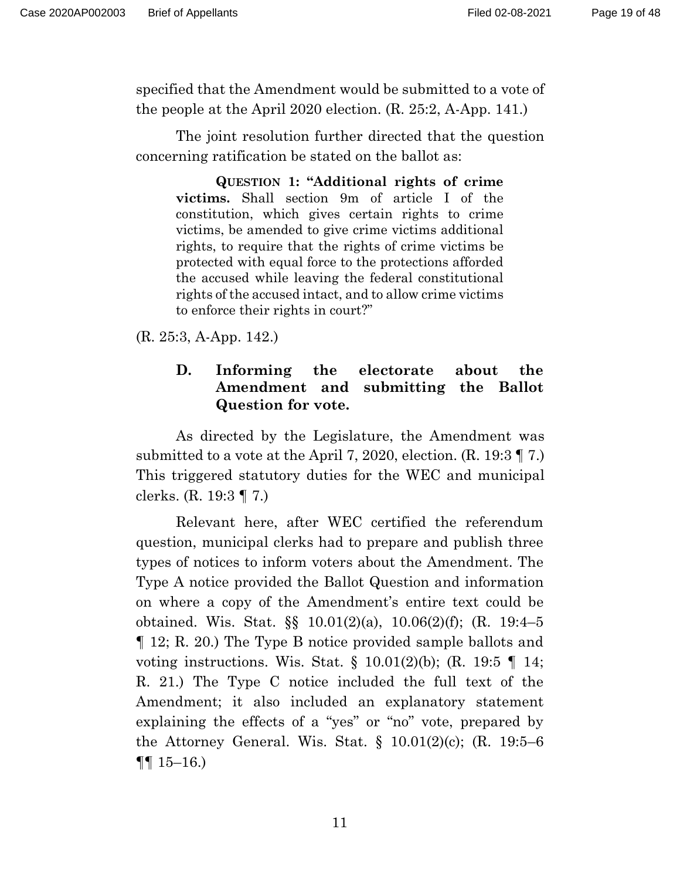specified that the Amendment would be submitted to a vote of the people at the April 2020 election. (R. 25:2, A-App. 141.)

The joint resolution further directed that the question concerning ratification be stated on the ballot as:

 **QUESTION 1: "Additional rights of crime victims.** Shall section 9m of article I of the constitution, which gives certain rights to crime victims, be amended to give crime victims additional rights, to require that the rights of crime victims be protected with equal force to the protections afforded the accused while leaving the federal constitutional rights of the accused intact, and to allow crime victims to enforce their rights in court?"

(R. 25:3, A-App. 142.)

## **D. Informing the electorate about the Amendment and submitting the Ballot Question for vote.**

As directed by the Legislature, the Amendment was submitted to a vote at the April 7, 2020, election. (R. 19:3 ¶ 7.) This triggered statutory duties for the WEC and municipal clerks. (R. 19:3 ¶ 7.)

 Relevant here, after WEC certified the referendum question, municipal clerks had to prepare and publish three types of notices to inform voters about the Amendment. The Type A notice provided the Ballot Question and information on where a copy of the Amendment's entire text could be obtained. Wis. Stat. §§ 10.01(2)(a), 10.06(2)(f); (R. 19:4–5 ¶ 12; R. 20.) The Type B notice provided sample ballots and voting instructions. Wis. Stat. § 10.01(2)(b); (R. 19:5 ¶ 14; R. 21.) The Type C notice included the full text of the Amendment; it also included an explanatory statement explaining the effects of a "yes" or "no" vote, prepared by the Attorney General. Wis. Stat.  $\S$  10.01(2)(c); (R. 19:5–6  $\P\P$  15–16.)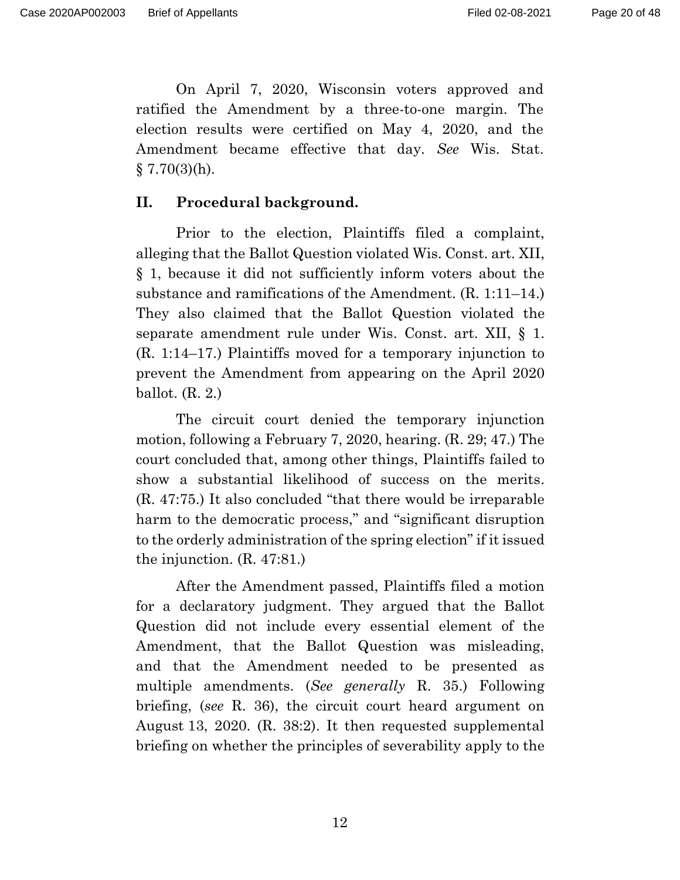On April 7, 2020, Wisconsin voters approved and ratified the Amendment by a three-to-one margin. The election results were certified on May 4, 2020, and the Amendment became effective that day. *See* Wis. Stat.  $\S 7.70(3)$ (h).

#### **II. Procedural background.**

Prior to the election, Plaintiffs filed a complaint, alleging that the Ballot Question violated Wis. Const. art. XII, § 1, because it did not sufficiently inform voters about the substance and ramifications of the Amendment. (R. 1:11–14.) They also claimed that the Ballot Question violated the separate amendment rule under Wis. Const. art. XII, § 1. (R. 1:14–17.) Plaintiffs moved for a temporary injunction to prevent the Amendment from appearing on the April 2020 ballot. (R. 2.)

 The circuit court denied the temporary injunction motion, following a February 7, 2020, hearing. (R. 29; 47.) The court concluded that, among other things, Plaintiffs failed to show a substantial likelihood of success on the merits. (R. 47:75.) It also concluded "that there would be irreparable harm to the democratic process," and "significant disruption to the orderly administration of the spring election" if it issued the injunction. (R. 47:81.)

After the Amendment passed, Plaintiffs filed a motion for a declaratory judgment. They argued that the Ballot Question did not include every essential element of the Amendment, that the Ballot Question was misleading, and that the Amendment needed to be presented as multiple amendments. (*See generally* R. 35.) Following briefing, (*see* R. 36), the circuit court heard argument on August 13, 2020. (R. 38:2). It then requested supplemental briefing on whether the principles of severability apply to the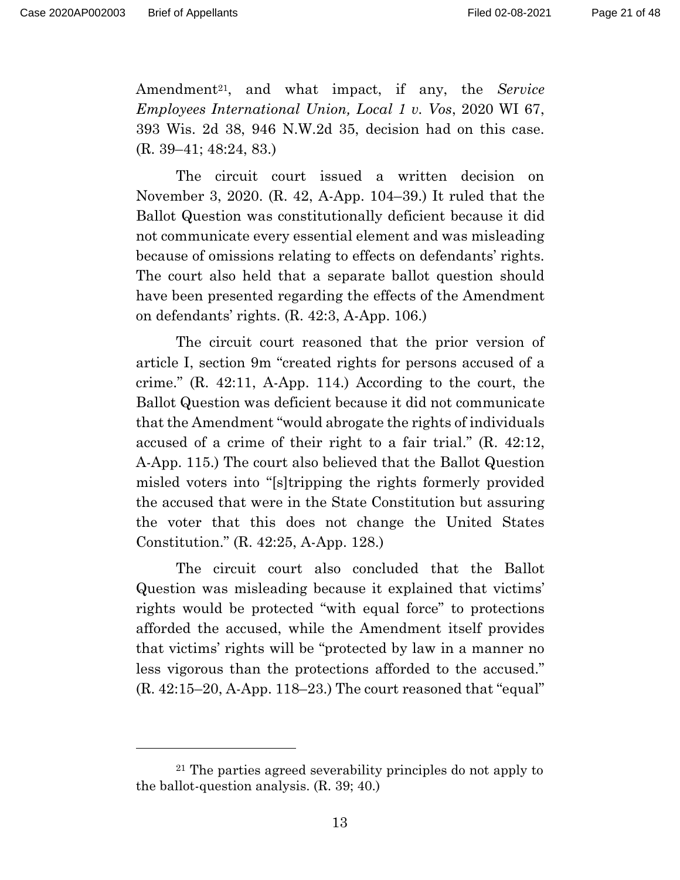Amendment21, and what impact, if any, the *Service Employees International Union, Local 1 v. Vos*, 2020 WI 67, 393 Wis. 2d 38, 946 N.W.2d 35, decision had on this case. (R. 39–41; 48:24, 83.)

The circuit court issued a written decision on November 3, 2020. (R. 42, A-App. 104–39.) It ruled that the Ballot Question was constitutionally deficient because it did not communicate every essential element and was misleading because of omissions relating to effects on defendants' rights. The court also held that a separate ballot question should have been presented regarding the effects of the Amendment on defendants' rights. (R. 42:3, A-App. 106.)

The circuit court reasoned that the prior version of article I, section 9m "created rights for persons accused of a crime." (R. 42:11, A-App. 114.) According to the court, the Ballot Question was deficient because it did not communicate that the Amendment "would abrogate the rights of individuals accused of a crime of their right to a fair trial." (R. 42:12, A-App. 115.) The court also believed that the Ballot Question misled voters into "[s]tripping the rights formerly provided the accused that were in the State Constitution but assuring the voter that this does not change the United States Constitution." (R. 42:25, A-App. 128.)

The circuit court also concluded that the Ballot Question was misleading because it explained that victims' rights would be protected "with equal force" to protections afforded the accused, while the Amendment itself provides that victims' rights will be "protected by law in a manner no less vigorous than the protections afforded to the accused."  $(R. 42:15-20, A-App. 118-23.)$  The court reasoned that "equal"

<sup>21</sup> The parties agreed severability principles do not apply to the ballot-question analysis. (R. 39; 40.)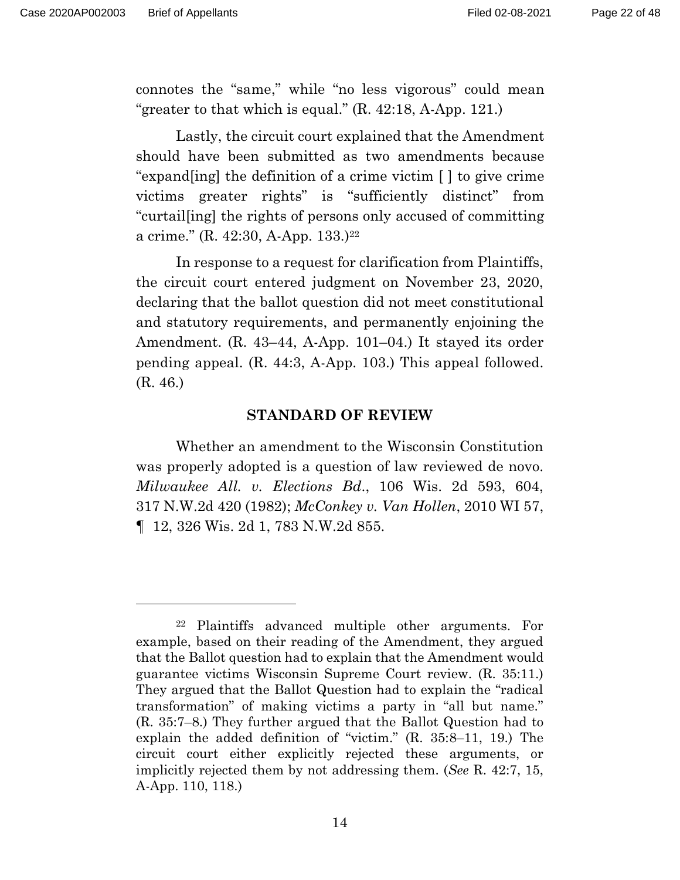connotes the "same," while "no less vigorous" could mean "greater to that which is equal." (R. 42:18, A-App. 121.)

Lastly, the circuit court explained that the Amendment should have been submitted as two amendments because "expand[ing] the definition of a crime victim [ ] to give crime victims greater rights" is "sufficiently distinct" from "curtail[ing] the rights of persons only accused of committing a crime." (R. 42:30, A-App. 133.)22

In response to a request for clarification from Plaintiffs, the circuit court entered judgment on November 23, 2020, declaring that the ballot question did not meet constitutional and statutory requirements, and permanently enjoining the Amendment. (R. 43–44, A-App. 101–04.) It stayed its order pending appeal. (R. 44:3, A-App. 103.) This appeal followed. (R. 46.)

#### **STANDARD OF REVIEW**

 Whether an amendment to the Wisconsin Constitution was properly adopted is a question of law reviewed de novo. *Milwaukee All. v. Elections Bd*., 106 Wis. 2d 593, 604, 317 N.W.2d 420 (1982); *McConkey v. Van Hollen*, 2010 WI 57, ¶ 12, 326 Wis. 2d 1, 783 N.W.2d 855.

<sup>22</sup> Plaintiffs advanced multiple other arguments. For example, based on their reading of the Amendment, they argued that the Ballot question had to explain that the Amendment would guarantee victims Wisconsin Supreme Court review. (R. 35:11.) They argued that the Ballot Question had to explain the "radical transformation" of making victims a party in "all but name." (R. 35:7–8.) They further argued that the Ballot Question had to explain the added definition of "victim." (R. 35:8–11, 19.) The circuit court either explicitly rejected these arguments, or implicitly rejected them by not addressing them. (*See* R. 42:7, 15, A-App. 110, 118.)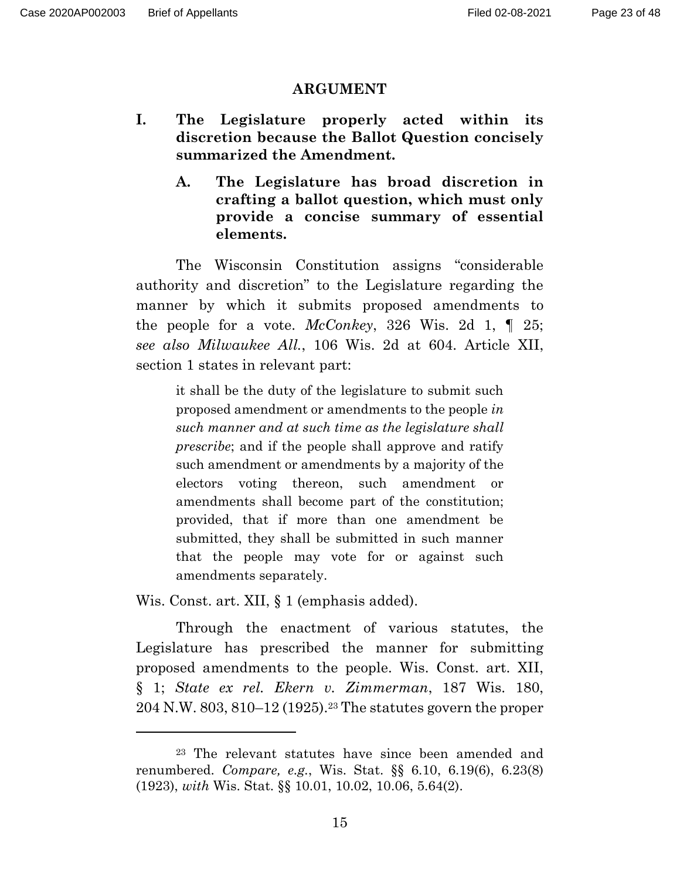#### **ARGUMENT**

- **I. The Legislature properly acted within its discretion because the Ballot Question concisely summarized the Amendment.** 
	- **A. The Legislature has broad discretion in crafting a ballot question, which must only provide a concise summary of essential elements.**

 The Wisconsin Constitution assigns "considerable authority and discretion" to the Legislature regarding the manner by which it submits proposed amendments to the people for a vote. *McConkey*, 326 Wis. 2d 1, ¶ 25; *see also Milwaukee All.*, 106 Wis. 2d at 604. Article XII, section 1 states in relevant part:

it shall be the duty of the legislature to submit such proposed amendment or amendments to the people *in such manner and at such time as the legislature shall prescribe*; and if the people shall approve and ratify such amendment or amendments by a majority of the electors voting thereon, such amendment or amendments shall become part of the constitution; provided, that if more than one amendment be submitted, they shall be submitted in such manner that the people may vote for or against such amendments separately.

Wis. Const. art. XII, § 1 (emphasis added).

 Through the enactment of various statutes, the Legislature has prescribed the manner for submitting proposed amendments to the people. Wis. Const. art. XII, § 1; *State ex rel. Ekern v. Zimmerman*, 187 Wis. 180, 204 N.W. 803, 810–12 (1925).23 The statutes govern the proper

<sup>23</sup> The relevant statutes have since been amended and renumbered. *Compare, e.g.*, Wis. Stat. §§ 6.10, 6.19(6), 6.23(8) (1923), *with* Wis. Stat. §§ 10.01, 10.02, 10.06, 5.64(2).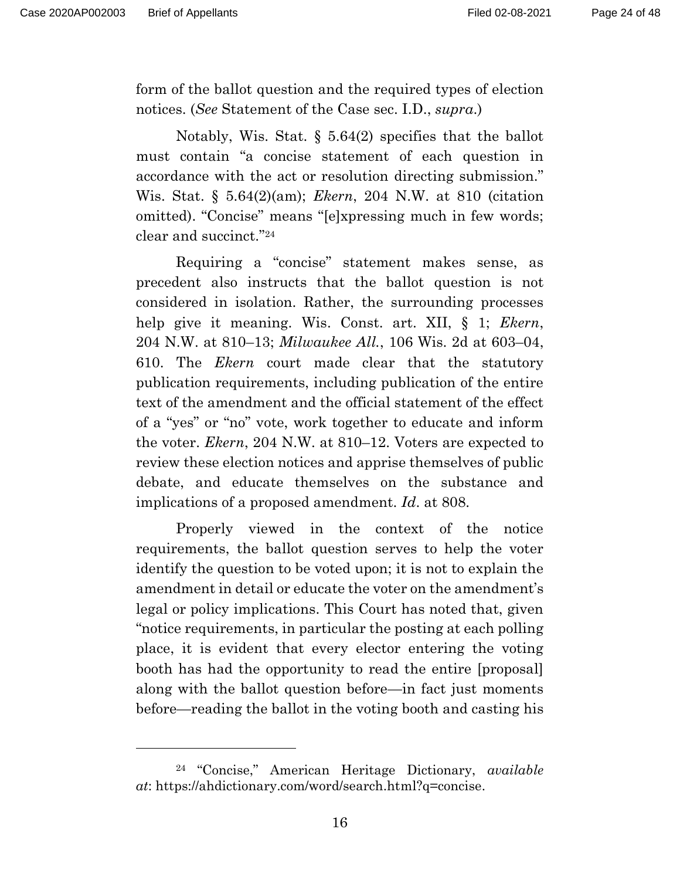form of the ballot question and the required types of election notices. (*See* Statement of the Case sec. I.D., *supra*.)

 Notably, Wis. Stat. § 5.64(2) specifies that the ballot must contain "a concise statement of each question in accordance with the act or resolution directing submission." Wis. Stat. § 5.64(2)(am); *Ekern*, 204 N.W. at 810 (citation omitted). "Concise" means "[e]xpressing much in few words; clear and succinct."24

 Requiring a "concise" statement makes sense, as precedent also instructs that the ballot question is not considered in isolation. Rather, the surrounding processes help give it meaning. Wis. Const. art. XII, § 1; *Ekern*, 204 N.W. at 810–13; *Milwaukee All.*, 106 Wis. 2d at 603–04, 610. The *Ekern* court made clear that the statutory publication requirements, including publication of the entire text of the amendment and the official statement of the effect of a "yes" or "no" vote, work together to educate and inform the voter. *Ekern*, 204 N.W. at 810–12. Voters are expected to review these election notices and apprise themselves of public debate, and educate themselves on the substance and implications of a proposed amendment. *Id*. at 808.

 Properly viewed in the context of the notice requirements, the ballot question serves to help the voter identify the question to be voted upon; it is not to explain the amendment in detail or educate the voter on the amendment's legal or policy implications. This Court has noted that, given "notice requirements, in particular the posting at each polling place, it is evident that every elector entering the voting booth has had the opportunity to read the entire [proposal] along with the ballot question before—in fact just moments before—reading the ballot in the voting booth and casting his

<sup>24 &</sup>quot;Concise," American Heritage Dictionary, *available at*: https://ahdictionary.com/word/search.html?q=concise.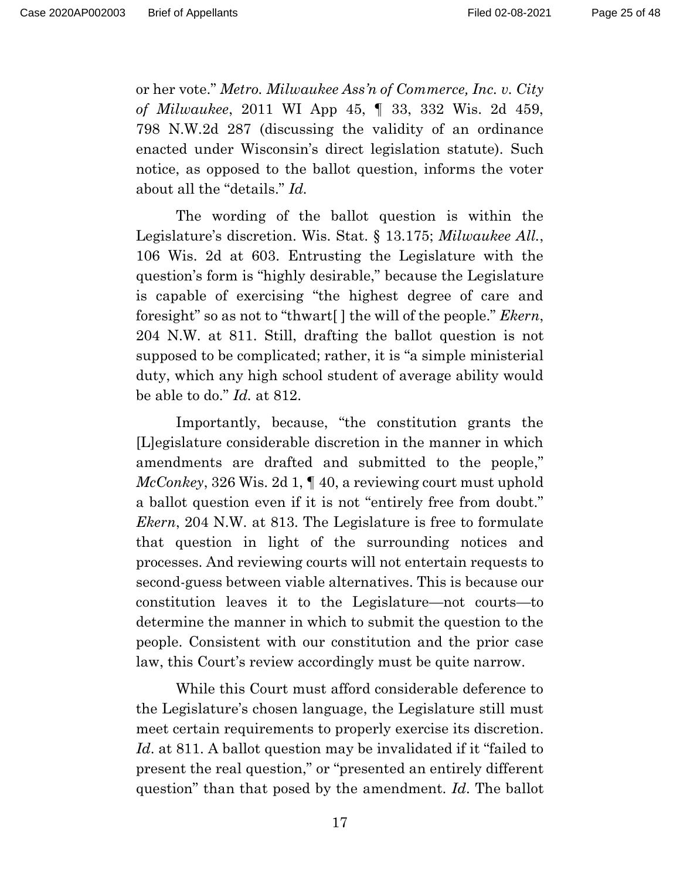or her vote." *Metro. Milwaukee Ass'n of Commerce, Inc. v. City of Milwaukee*, 2011 WI App 45, ¶ 33, 332 Wis. 2d 459, 798 N.W.2d 287 (discussing the validity of an ordinance enacted under Wisconsin's direct legislation statute). Such notice, as opposed to the ballot question, informs the voter about all the "details." *Id.*

 The wording of the ballot question is within the Legislature's discretion. Wis. Stat. § 13.175; *Milwaukee All.*, 106 Wis. 2d at 603. Entrusting the Legislature with the question's form is "highly desirable," because the Legislature is capable of exercising "the highest degree of care and foresight" so as not to "thwart[ ] the will of the people." *Ekern*, 204 N.W. at 811. Still, drafting the ballot question is not supposed to be complicated; rather, it is "a simple ministerial duty, which any high school student of average ability would be able to do." *Id.* at 812.

 Importantly, because, "the constitution grants the [L]egislature considerable discretion in the manner in which amendments are drafted and submitted to the people," *McConkey*, 326 Wis. 2d 1, ¶ 40, a reviewing court must uphold a ballot question even if it is not "entirely free from doubt." *Ekern*, 204 N.W. at 813. The Legislature is free to formulate that question in light of the surrounding notices and processes. And reviewing courts will not entertain requests to second-guess between viable alternatives. This is because our constitution leaves it to the Legislature—not courts—to determine the manner in which to submit the question to the people. Consistent with our constitution and the prior case law, this Court's review accordingly must be quite narrow.

 While this Court must afford considerable deference to the Legislature's chosen language, the Legislature still must meet certain requirements to properly exercise its discretion. *Id*. at 811. A ballot question may be invalidated if it "failed to present the real question," or "presented an entirely different question" than that posed by the amendment. *Id*. The ballot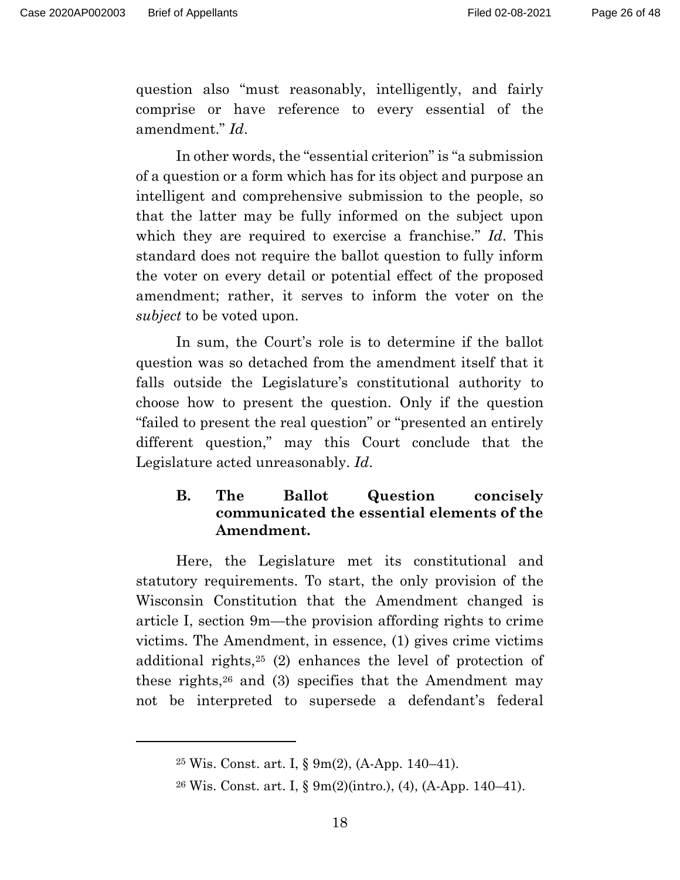question also "must reasonably, intelligently, and fairly comprise or have reference to every essential of the amendment." *Id*.

 In other words, the "essential criterion" is "a submission of a question or a form which has for its object and purpose an intelligent and comprehensive submission to the people, so that the latter may be fully informed on the subject upon which they are required to exercise a franchise." *Id*. This standard does not require the ballot question to fully inform the voter on every detail or potential effect of the proposed amendment; rather, it serves to inform the voter on the *subject* to be voted upon.

 In sum, the Court's role is to determine if the ballot question was so detached from the amendment itself that it falls outside the Legislature's constitutional authority to choose how to present the question. Only if the question "failed to present the real question" or "presented an entirely different question," may this Court conclude that the Legislature acted unreasonably. *Id*.

## **B. The Ballot Question concisely communicated the essential elements of the Amendment.**

 Here, the Legislature met its constitutional and statutory requirements. To start, the only provision of the Wisconsin Constitution that the Amendment changed is article I, section 9m—the provision affording rights to crime victims. The Amendment, in essence, (1) gives crime victims additional rights,25 (2) enhances the level of protection of these rights,26 and (3) specifies that the Amendment may not be interpreted to supersede a defendant's federal

<sup>25</sup> Wis. Const. art. I, § 9m(2), (A-App. 140–41).

<sup>26</sup> Wis. Const. art. I, § 9m(2)(intro.), (4), (A-App. 140–41).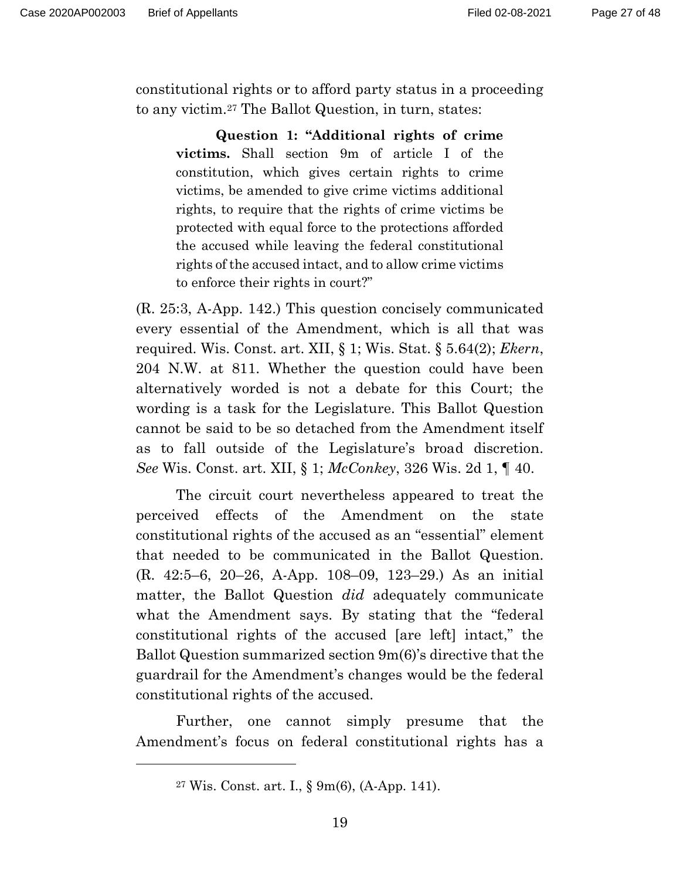constitutional rights or to afford party status in a proceeding to any victim.27 The Ballot Question, in turn, states:

**Question 1: "Additional rights of crime victims.** Shall section 9m of article I of the constitution, which gives certain rights to crime victims, be amended to give crime victims additional rights, to require that the rights of crime victims be protected with equal force to the protections afforded the accused while leaving the federal constitutional rights of the accused intact, and to allow crime victims to enforce their rights in court?"

(R. 25:3, A-App. 142.) This question concisely communicated every essential of the Amendment, which is all that was required. Wis. Const. art. XII, § 1; Wis. Stat. § 5.64(2); *Ekern*, 204 N.W. at 811. Whether the question could have been alternatively worded is not a debate for this Court; the wording is a task for the Legislature. This Ballot Question cannot be said to be so detached from the Amendment itself as to fall outside of the Legislature's broad discretion. *See* Wis. Const. art. XII, § 1; *McConkey*, 326 Wis. 2d 1, ¶ 40.

 The circuit court nevertheless appeared to treat the perceived effects of the Amendment on the state constitutional rights of the accused as an "essential" element that needed to be communicated in the Ballot Question. (R. 42:5–6, 20–26, A-App. 108–09, 123–29.) As an initial matter, the Ballot Question *did* adequately communicate what the Amendment says. By stating that the "federal constitutional rights of the accused [are left] intact," the Ballot Question summarized section 9m(6)'s directive that the guardrail for the Amendment's changes would be the federal constitutional rights of the accused.

 Further, one cannot simply presume that the Amendment's focus on federal constitutional rights has a

<sup>27</sup> Wis. Const. art. I., § 9m(6), (A-App. 141).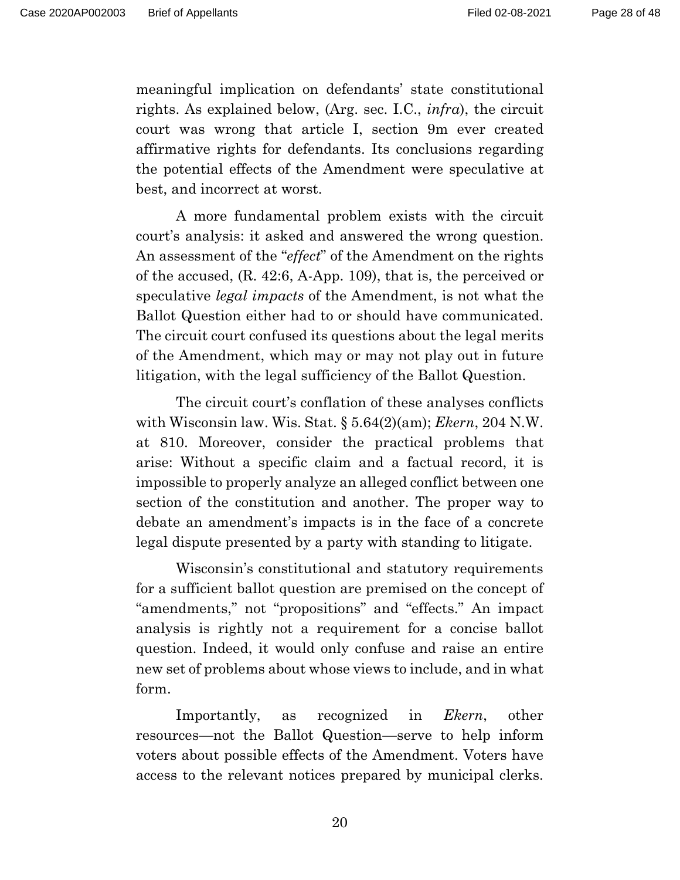meaningful implication on defendants' state constitutional rights. As explained below, (Arg. sec. I.C., *infra*), the circuit court was wrong that article I, section 9m ever created affirmative rights for defendants. Its conclusions regarding the potential effects of the Amendment were speculative at best, and incorrect at worst.

 A more fundamental problem exists with the circuit court's analysis: it asked and answered the wrong question. An assessment of the "*effect*" of the Amendment on the rights of the accused, (R. 42:6, A-App. 109), that is, the perceived or speculative *legal impacts* of the Amendment, is not what the Ballot Question either had to or should have communicated. The circuit court confused its questions about the legal merits of the Amendment, which may or may not play out in future litigation, with the legal sufficiency of the Ballot Question.

 The circuit court's conflation of these analyses conflicts with Wisconsin law. Wis. Stat. § 5.64(2)(am); *Ekern*, 204 N.W. at 810. Moreover, consider the practical problems that arise: Without a specific claim and a factual record, it is impossible to properly analyze an alleged conflict between one section of the constitution and another. The proper way to debate an amendment's impacts is in the face of a concrete legal dispute presented by a party with standing to litigate.

Wisconsin's constitutional and statutory requirements for a sufficient ballot question are premised on the concept of "amendments," not "propositions" and "effects." An impact analysis is rightly not a requirement for a concise ballot question. Indeed, it would only confuse and raise an entire new set of problems about whose views to include, and in what form.

Importantly, as recognized in *Ekern*, other resources—not the Ballot Question—serve to help inform voters about possible effects of the Amendment. Voters have access to the relevant notices prepared by municipal clerks.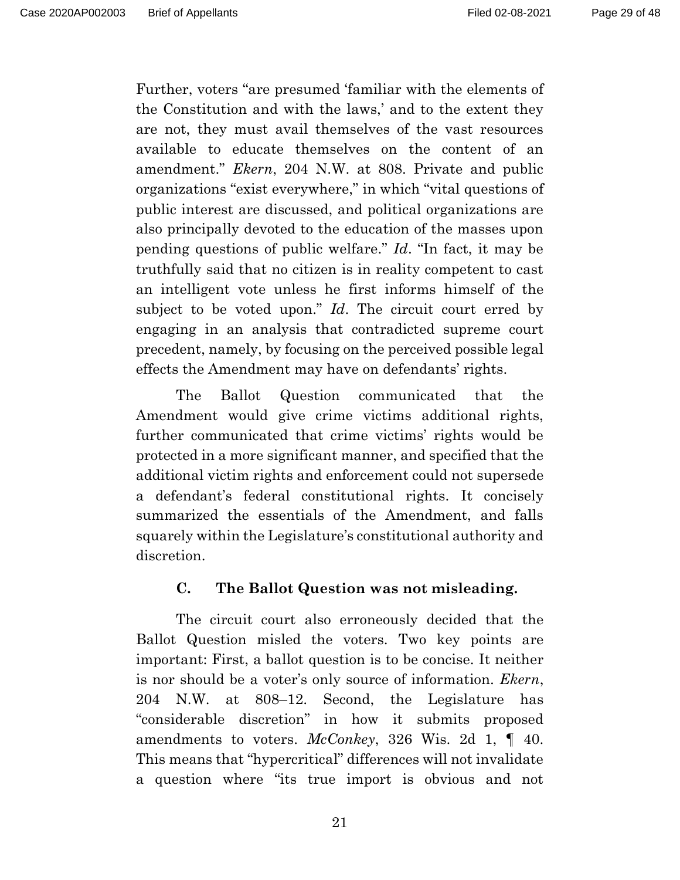Further, voters "are presumed 'familiar with the elements of the Constitution and with the laws,' and to the extent they are not, they must avail themselves of the vast resources available to educate themselves on the content of an amendment." *Ekern*, 204 N.W. at 808. Private and public organizations "exist everywhere," in which "vital questions of public interest are discussed, and political organizations are also principally devoted to the education of the masses upon pending questions of public welfare." *Id*. "In fact, it may be truthfully said that no citizen is in reality competent to cast an intelligent vote unless he first informs himself of the subject to be voted upon." *Id*. The circuit court erred by engaging in an analysis that contradicted supreme court precedent, namely, by focusing on the perceived possible legal effects the Amendment may have on defendants' rights.

The Ballot Question communicated that the Amendment would give crime victims additional rights, further communicated that crime victims' rights would be protected in a more significant manner, and specified that the additional victim rights and enforcement could not supersede a defendant's federal constitutional rights. It concisely summarized the essentials of the Amendment, and falls squarely within the Legislature's constitutional authority and discretion.

#### **C. The Ballot Question was not misleading.**

 The circuit court also erroneously decided that the Ballot Question misled the voters. Two key points are important: First, a ballot question is to be concise. It neither is nor should be a voter's only source of information. *Ekern*, 204 N.W. at 808–12. Second, the Legislature has "considerable discretion" in how it submits proposed amendments to voters. *McConkey*, 326 Wis. 2d 1, ¶ 40. This means that "hypercritical" differences will not invalidate a question where "its true import is obvious and not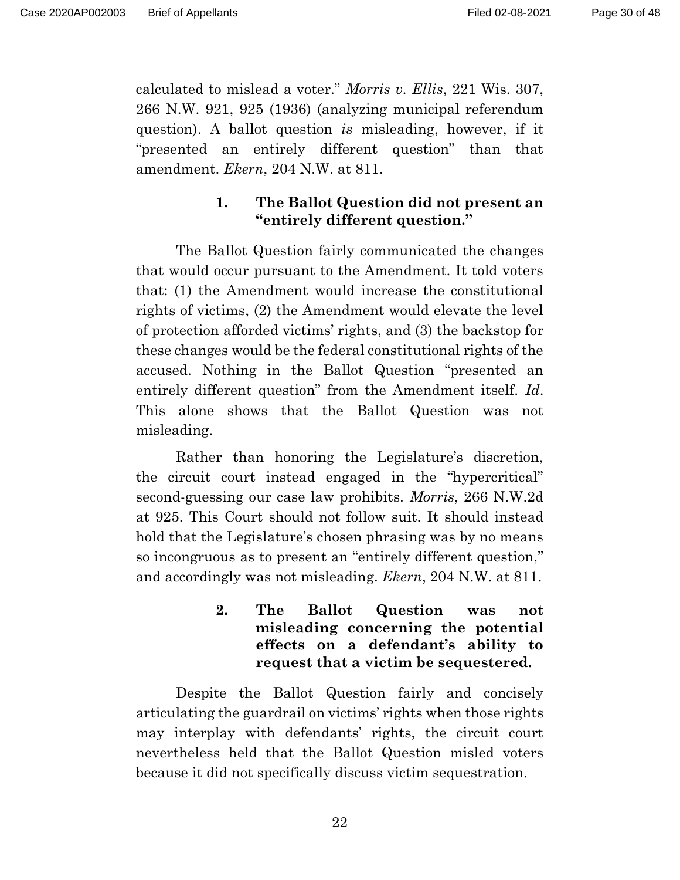calculated to mislead a voter." *Morris v. Ellis*, 221 Wis. 307, 266 N.W. 921, 925 (1936) (analyzing municipal referendum question). A ballot question *is* misleading, however, if it "presented an entirely different question" than that amendment. *Ekern*, 204 N.W. at 811.

## **1. The Ballot Question did not present an "entirely different question."**

 The Ballot Question fairly communicated the changes that would occur pursuant to the Amendment. It told voters that: (1) the Amendment would increase the constitutional rights of victims, (2) the Amendment would elevate the level of protection afforded victims' rights, and (3) the backstop for these changes would be the federal constitutional rights of the accused. Nothing in the Ballot Question "presented an entirely different question" from the Amendment itself. *Id*. This alone shows that the Ballot Question was not misleading.

 Rather than honoring the Legislature's discretion, the circuit court instead engaged in the "hypercritical" second-guessing our case law prohibits. *Morris*, 266 N.W.2d at 925. This Court should not follow suit. It should instead hold that the Legislature's chosen phrasing was by no means so incongruous as to present an "entirely different question," and accordingly was not misleading. *Ekern*, 204 N.W. at 811.

> **2. The Ballot Question was not misleading concerning the potential effects on a defendant's ability to request that a victim be sequestered.**

 Despite the Ballot Question fairly and concisely articulating the guardrail on victims' rights when those rights may interplay with defendants' rights, the circuit court nevertheless held that the Ballot Question misled voters because it did not specifically discuss victim sequestration.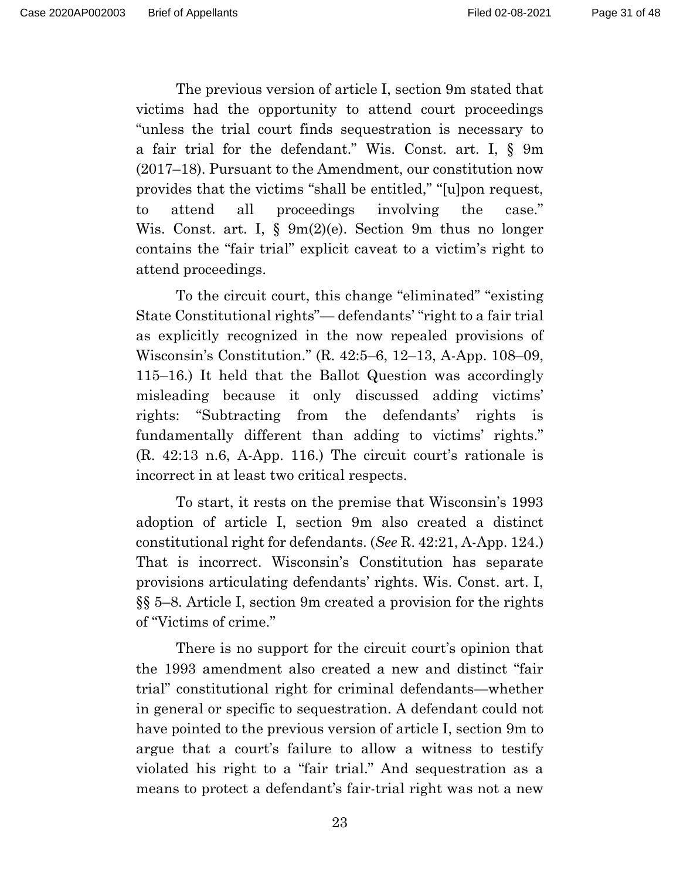The previous version of article I, section 9m stated that victims had the opportunity to attend court proceedings "unless the trial court finds sequestration is necessary to a fair trial for the defendant." Wis. Const. art. I, § 9m (2017–18). Pursuant to the Amendment, our constitution now provides that the victims "shall be entitled," "[u]pon request, to attend all proceedings involving the case." Wis. Const. art. I, § 9m(2)(e). Section 9m thus no longer contains the "fair trial" explicit caveat to a victim's right to attend proceedings.

 To the circuit court, this change "eliminated" "existing State Constitutional rights"— defendants' "right to a fair trial as explicitly recognized in the now repealed provisions of Wisconsin's Constitution." (R. 42:5–6, 12–13, A-App. 108–09, 115–16.) It held that the Ballot Question was accordingly misleading because it only discussed adding victims' rights: "Subtracting from the defendants' rights is fundamentally different than adding to victims' rights." (R. 42:13 n.6, A-App. 116.) The circuit court's rationale is incorrect in at least two critical respects.

 To start, it rests on the premise that Wisconsin's 1993 adoption of article I, section 9m also created a distinct constitutional right for defendants. (*See* R. 42:21, A-App. 124.) That is incorrect. Wisconsin's Constitution has separate provisions articulating defendants' rights. Wis. Const. art. I, §§ 5–8. Article I, section 9m created a provision for the rights of "Victims of crime."

 There is no support for the circuit court's opinion that the 1993 amendment also created a new and distinct "fair trial" constitutional right for criminal defendants—whether in general or specific to sequestration. A defendant could not have pointed to the previous version of article I, section 9m to argue that a court's failure to allow a witness to testify violated his right to a "fair trial." And sequestration as a means to protect a defendant's fair-trial right was not a new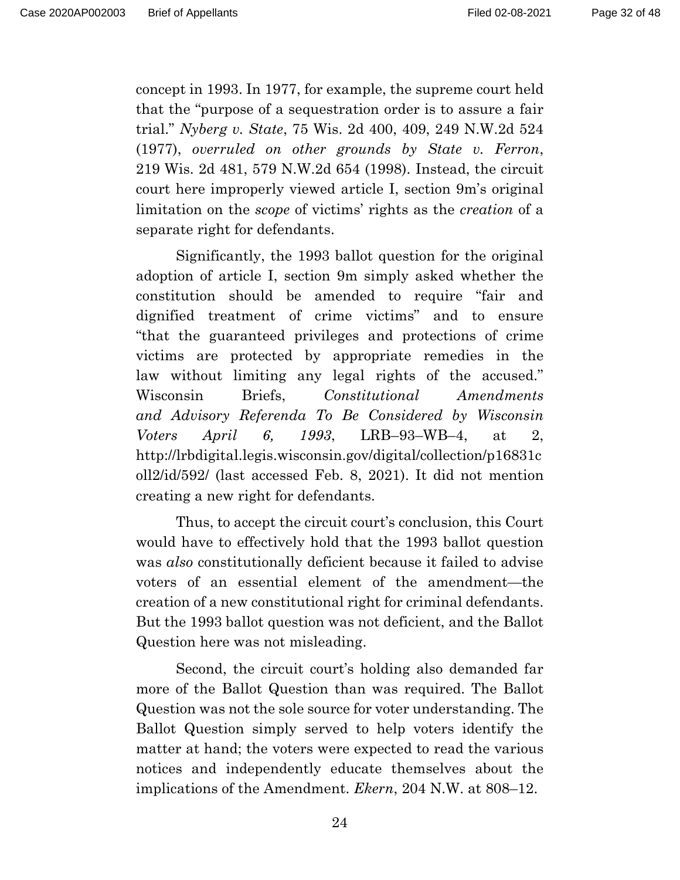concept in 1993. In 1977, for example, the supreme court held that the "purpose of a sequestration order is to assure a fair trial." *Nyberg v. State*, 75 Wis. 2d 400, 409, 249 N.W.2d 524 (1977), *overruled on other grounds by State v. Ferron*, 219 Wis. 2d 481, 579 N.W.2d 654 (1998). Instead, the circuit court here improperly viewed article I, section 9m's original limitation on the *scope* of victims' rights as the *creation* of a separate right for defendants.

 Significantly, the 1993 ballot question for the original adoption of article I, section 9m simply asked whether the constitution should be amended to require "fair and dignified treatment of crime victims" and to ensure "that the guaranteed privileges and protections of crime victims are protected by appropriate remedies in the law without limiting any legal rights of the accused." Wisconsin Briefs, *Constitutional Amendments and Advisory Referenda To Be Considered by Wisconsin Voters April 6, 1993*, LRB–93–WB–4, at 2, http://lrbdigital.legis.wisconsin.gov/digital/collection/p16831c oll2/id/592/ (last accessed Feb. 8, 2021). It did not mention creating a new right for defendants.

 Thus, to accept the circuit court's conclusion, this Court would have to effectively hold that the 1993 ballot question was *also* constitutionally deficient because it failed to advise voters of an essential element of the amendment—the creation of a new constitutional right for criminal defendants. But the 1993 ballot question was not deficient, and the Ballot Question here was not misleading.

 Second, the circuit court's holding also demanded far more of the Ballot Question than was required. The Ballot Question was not the sole source for voter understanding. The Ballot Question simply served to help voters identify the matter at hand; the voters were expected to read the various notices and independently educate themselves about the implications of the Amendment. *Ekern*, 204 N.W. at 808–12.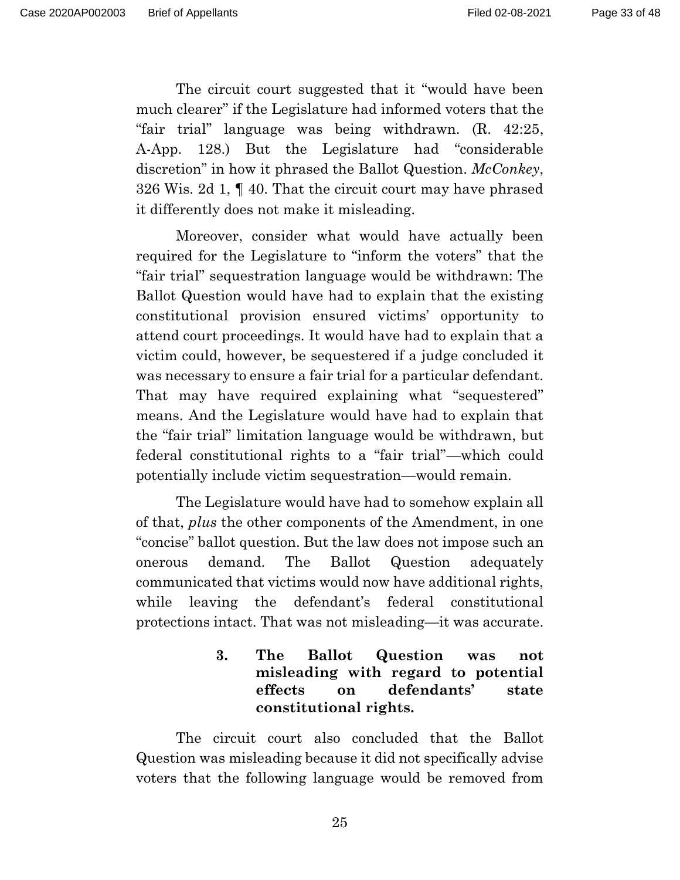The circuit court suggested that it "would have been much clearer" if the Legislature had informed voters that the "fair trial" language was being withdrawn. (R. 42:25, A-App. 128.) But the Legislature had "considerable discretion" in how it phrased the Ballot Question. *McConkey*, 326 Wis. 2d 1, ¶ 40. That the circuit court may have phrased it differently does not make it misleading.

 Moreover, consider what would have actually been required for the Legislature to "inform the voters" that the "fair trial" sequestration language would be withdrawn: The Ballot Question would have had to explain that the existing constitutional provision ensured victims' opportunity to attend court proceedings. It would have had to explain that a victim could, however, be sequestered if a judge concluded it was necessary to ensure a fair trial for a particular defendant. That may have required explaining what "sequestered" means. And the Legislature would have had to explain that the "fair trial" limitation language would be withdrawn, but federal constitutional rights to a "fair trial"—which could potentially include victim sequestration—would remain.

 The Legislature would have had to somehow explain all of that, *plus* the other components of the Amendment, in one "concise" ballot question. But the law does not impose such an onerous demand. The Ballot Question adequately communicated that victims would now have additional rights, while leaving the defendant's federal constitutional protections intact. That was not misleading—it was accurate.

## **3. The Ballot Question was not misleading with regard to potential effects on defendants' state constitutional rights.**

 The circuit court also concluded that the Ballot Question was misleading because it did not specifically advise voters that the following language would be removed from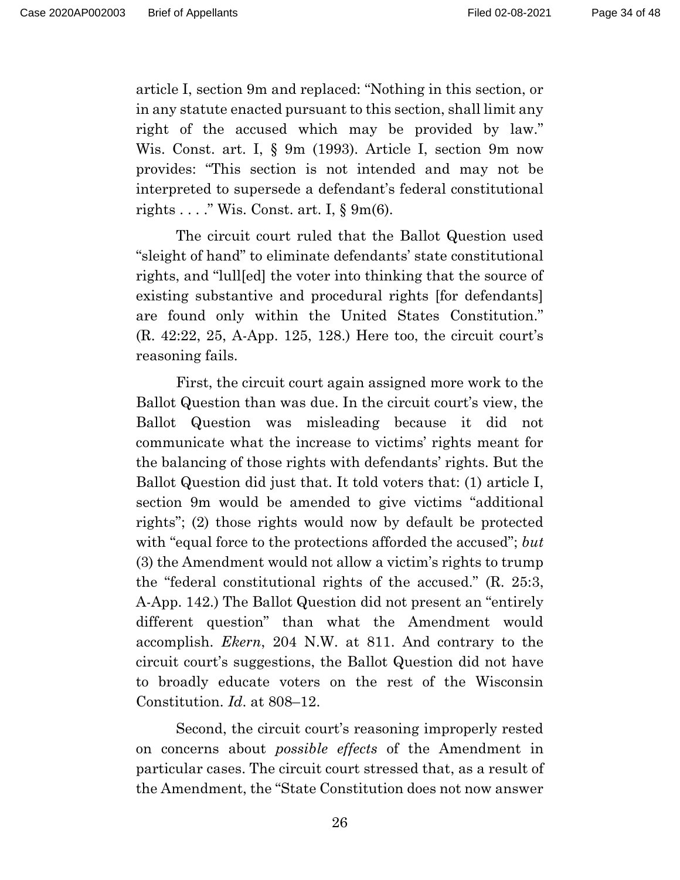article I, section 9m and replaced: "Nothing in this section, or in any statute enacted pursuant to this section, shall limit any right of the accused which may be provided by law." Wis. Const. art. I, § 9m (1993). Article I, section 9m now provides: "This section is not intended and may not be interpreted to supersede a defendant's federal constitutional rights . . . . " Wis. Const. art. I,  $\S$  9m(6).

 The circuit court ruled that the Ballot Question used "sleight of hand" to eliminate defendants' state constitutional rights, and "lull[ed] the voter into thinking that the source of existing substantive and procedural rights [for defendants] are found only within the United States Constitution." (R. 42:22, 25, A-App. 125, 128.) Here too, the circuit court's reasoning fails.

 First, the circuit court again assigned more work to the Ballot Question than was due. In the circuit court's view, the Ballot Question was misleading because it did not communicate what the increase to victims' rights meant for the balancing of those rights with defendants' rights. But the Ballot Question did just that. It told voters that: (1) article I, section 9m would be amended to give victims "additional rights"; (2) those rights would now by default be protected with "equal force to the protections afforded the accused"; *but*  (3) the Amendment would not allow a victim's rights to trump the "federal constitutional rights of the accused." (R. 25:3, A-App. 142.) The Ballot Question did not present an "entirely different question" than what the Amendment would accomplish. *Ekern*, 204 N.W. at 811. And contrary to the circuit court's suggestions, the Ballot Question did not have to broadly educate voters on the rest of the Wisconsin Constitution. *Id*. at 808–12.

 Second, the circuit court's reasoning improperly rested on concerns about *possible effects* of the Amendment in particular cases. The circuit court stressed that, as a result of the Amendment, the "State Constitution does not now answer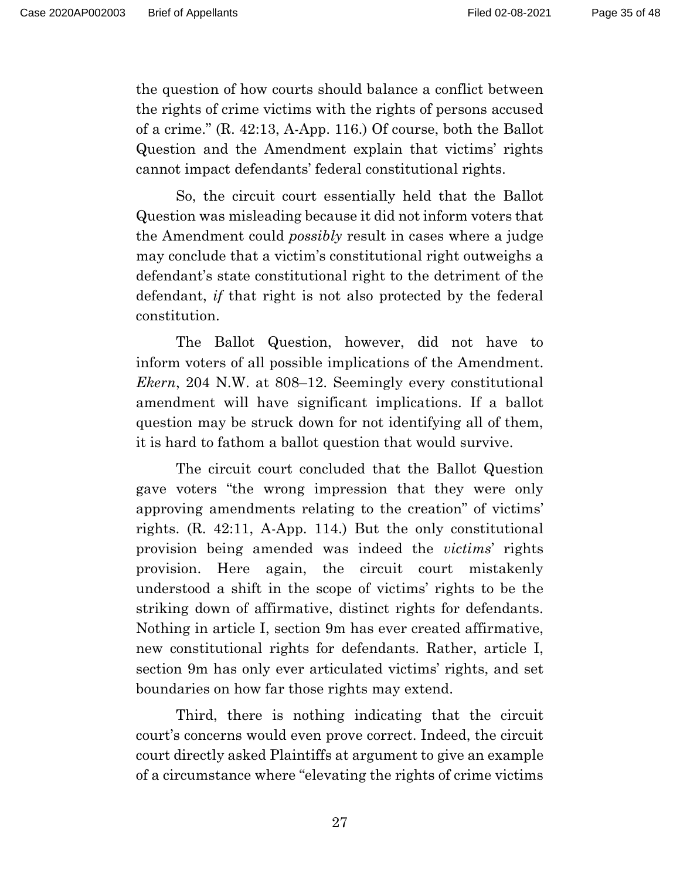the question of how courts should balance a conflict between the rights of crime victims with the rights of persons accused of a crime." (R. 42:13, A-App. 116.) Of course, both the Ballot Question and the Amendment explain that victims' rights cannot impact defendants' federal constitutional rights.

 So, the circuit court essentially held that the Ballot Question was misleading because it did not inform voters that the Amendment could *possibly* result in cases where a judge may conclude that a victim's constitutional right outweighs a defendant's state constitutional right to the detriment of the defendant, *if* that right is not also protected by the federal constitution.

 The Ballot Question, however, did not have to inform voters of all possible implications of the Amendment. *Ekern*, 204 N.W. at 808–12. Seemingly every constitutional amendment will have significant implications. If a ballot question may be struck down for not identifying all of them, it is hard to fathom a ballot question that would survive.

 The circuit court concluded that the Ballot Question gave voters "the wrong impression that they were only approving amendments relating to the creation" of victims' rights. (R. 42:11, A-App. 114.) But the only constitutional provision being amended was indeed the *victims*' rights provision. Here again, the circuit court mistakenly understood a shift in the scope of victims' rights to be the striking down of affirmative, distinct rights for defendants. Nothing in article I, section 9m has ever created affirmative, new constitutional rights for defendants. Rather, article I, section 9m has only ever articulated victims' rights, and set boundaries on how far those rights may extend.

 Third, there is nothing indicating that the circuit court's concerns would even prove correct. Indeed, the circuit court directly asked Plaintiffs at argument to give an example of a circumstance where "elevating the rights of crime victims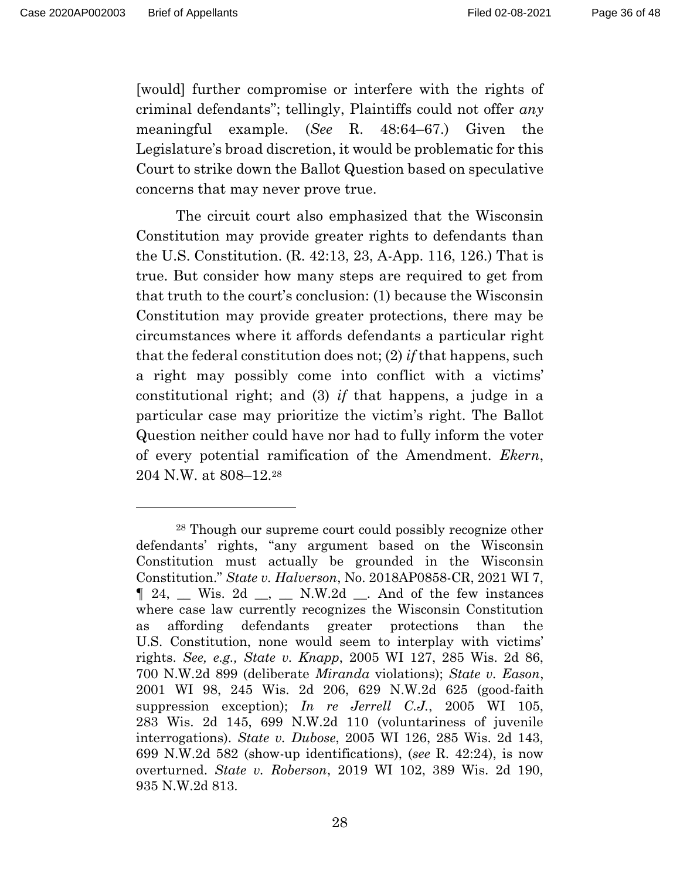[would] further compromise or interfere with the rights of criminal defendants"; tellingly, Plaintiffs could not offer *any* meaningful example. (*See* R. 48:64–67.) Given the Legislature's broad discretion, it would be problematic for this Court to strike down the Ballot Question based on speculative concerns that may never prove true.

 The circuit court also emphasized that the Wisconsin Constitution may provide greater rights to defendants than the U.S. Constitution. (R. 42:13, 23, A-App. 116, 126.) That is true. But consider how many steps are required to get from that truth to the court's conclusion: (1) because the Wisconsin Constitution may provide greater protections, there may be circumstances where it affords defendants a particular right that the federal constitution does not; (2) *if* that happens, such a right may possibly come into conflict with a victims' constitutional right; and (3) *if* that happens, a judge in a particular case may prioritize the victim's right. The Ballot Question neither could have nor had to fully inform the voter of every potential ramification of the Amendment. *Ekern*, 204 N.W. at 808–12.28

<sup>28</sup> Though our supreme court could possibly recognize other defendants' rights, "any argument based on the Wisconsin Constitution must actually be grounded in the Wisconsin Constitution." *State v. Halverson*, No. 2018AP0858-CR, 2021 WI 7, ¶ 24, \_\_ Wis. 2d \_\_, \_\_ N.W.2d \_\_. And of the few instances where case law currently recognizes the Wisconsin Constitution as affording defendants greater protections than the U.S. Constitution, none would seem to interplay with victims' rights. *See, e.g., State v. Knapp*, 2005 WI 127, 285 Wis. 2d 86, 700 N.W.2d 899 (deliberate *Miranda* violations); *State v. Eason*, 2001 WI 98, 245 Wis. 2d 206, 629 N.W.2d 625 (good-faith suppression exception); *In re Jerrell C.J.*, 2005 WI 105, 283 Wis. 2d 145, 699 N.W.2d 110 (voluntariness of juvenile interrogations). *State v. Dubose*, 2005 WI 126, 285 Wis. 2d 143, 699 N.W.2d 582 (show-up identifications), (*see* R. 42:24), is now overturned. *State v. Roberson*, 2019 WI 102, 389 Wis. 2d 190, 935 N.W.2d 813.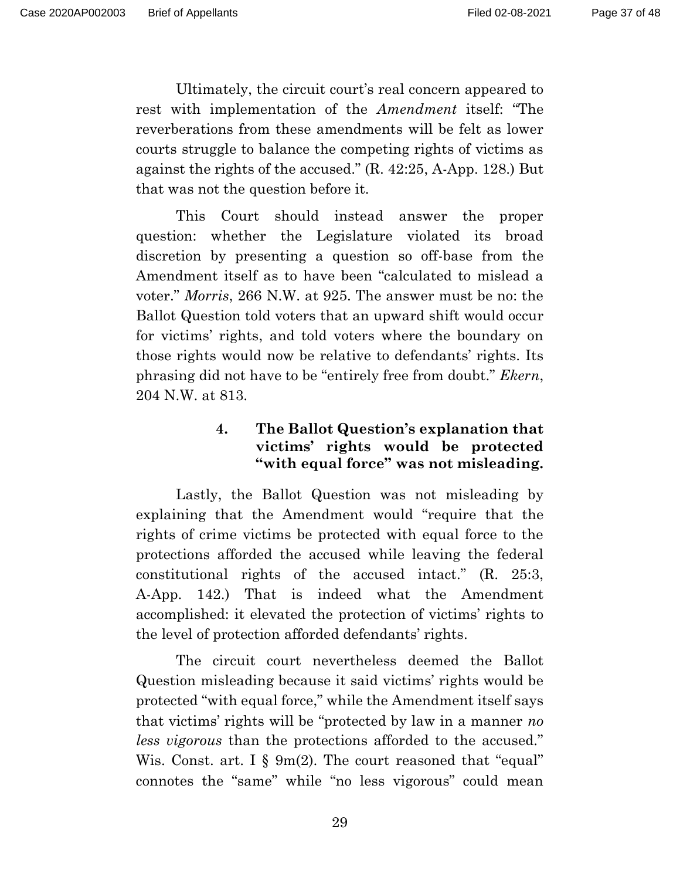Ultimately, the circuit court's real concern appeared to rest with implementation of the *Amendment* itself: "The reverberations from these amendments will be felt as lower courts struggle to balance the competing rights of victims as against the rights of the accused." (R. 42:25, A-App. 128.) But that was not the question before it.

 This Court should instead answer the proper question: whether the Legislature violated its broad discretion by presenting a question so off-base from the Amendment itself as to have been "calculated to mislead a voter." *Morris*, 266 N.W. at 925. The answer must be no: the Ballot Question told voters that an upward shift would occur for victims' rights, and told voters where the boundary on those rights would now be relative to defendants' rights. Its phrasing did not have to be "entirely free from doubt." *Ekern*, 204 N.W. at 813.

## **4. The Ballot Question's explanation that victims' rights would be protected "with equal force" was not misleading.**

 Lastly, the Ballot Question was not misleading by explaining that the Amendment would "require that the rights of crime victims be protected with equal force to the protections afforded the accused while leaving the federal constitutional rights of the accused intact." (R. 25:3, A-App. 142.) That is indeed what the Amendment accomplished: it elevated the protection of victims' rights to the level of protection afforded defendants' rights.

 The circuit court nevertheless deemed the Ballot Question misleading because it said victims' rights would be protected "with equal force," while the Amendment itself says that victims' rights will be "protected by law in a manner *no less vigorous* than the protections afforded to the accused." Wis. Const. art. I § 9m(2). The court reasoned that "equal" connotes the "same" while "no less vigorous" could mean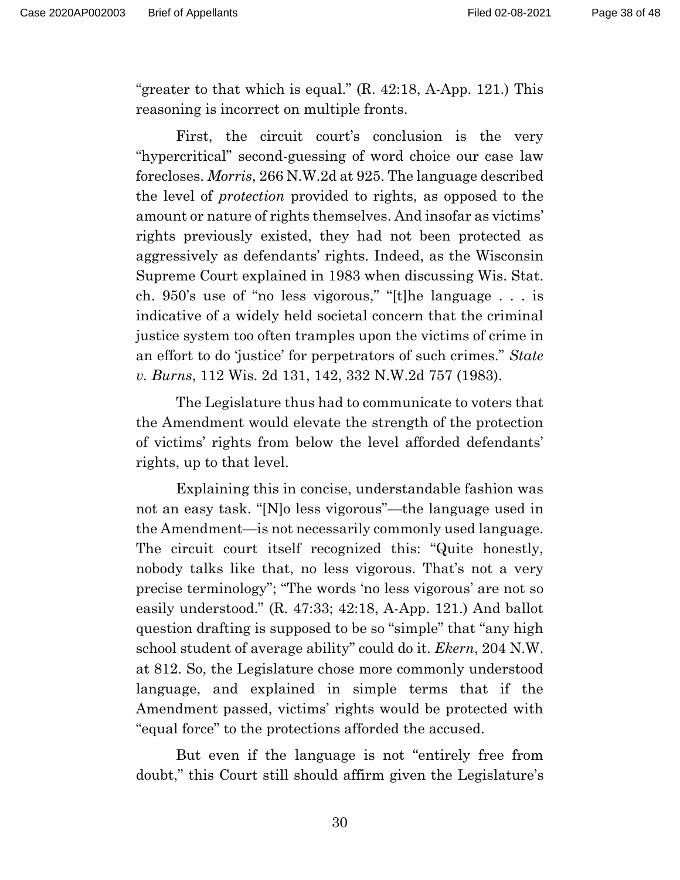"greater to that which is equal." (R. 42:18, A-App. 121.) This reasoning is incorrect on multiple fronts.

 First, the circuit court's conclusion is the very "hypercritical" second-guessing of word choice our case law forecloses. *Morris*, 266 N.W.2d at 925. The language described the level of *protection* provided to rights, as opposed to the amount or nature of rights themselves. And insofar as victims' rights previously existed, they had not been protected as aggressively as defendants' rights. Indeed, as the Wisconsin Supreme Court explained in 1983 when discussing Wis. Stat. ch. 950's use of "no less vigorous," "[t]he language . . . is indicative of a widely held societal concern that the criminal justice system too often tramples upon the victims of crime in an effort to do 'justice' for perpetrators of such crimes." *State v. Burns*, 112 Wis. 2d 131, 142, 332 N.W.2d 757 (1983).

 The Legislature thus had to communicate to voters that the Amendment would elevate the strength of the protection of victims' rights from below the level afforded defendants' rights, up to that level.

 Explaining this in concise, understandable fashion was not an easy task. "[N]o less vigorous"—the language used in the Amendment—is not necessarily commonly used language. The circuit court itself recognized this: "Quite honestly, nobody talks like that, no less vigorous. That's not a very precise terminology"; "The words 'no less vigorous' are not so easily understood." (R. 47:33; 42:18, A-App. 121.) And ballot question drafting is supposed to be so "simple" that "any high school student of average ability" could do it. *Ekern*, 204 N.W. at 812. So, the Legislature chose more commonly understood language, and explained in simple terms that if the Amendment passed, victims' rights would be protected with "equal force" to the protections afforded the accused.

 But even if the language is not "entirely free from doubt," this Court still should affirm given the Legislature's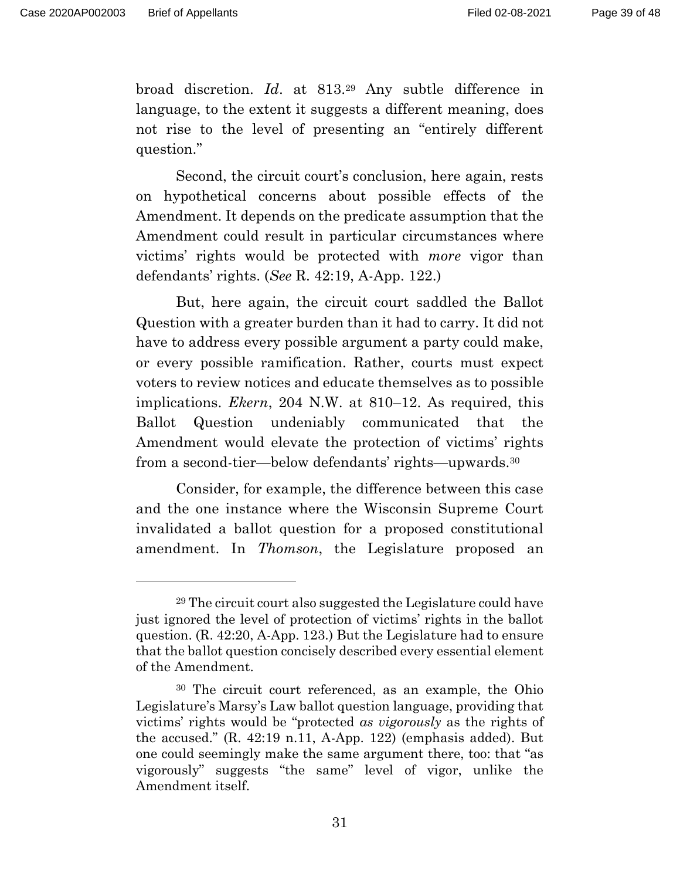broad discretion. *Id*. at 813.29 Any subtle difference in language, to the extent it suggests a different meaning, does not rise to the level of presenting an "entirely different question."

 Second, the circuit court's conclusion, here again, rests on hypothetical concerns about possible effects of the Amendment. It depends on the predicate assumption that the Amendment could result in particular circumstances where victims' rights would be protected with *more* vigor than defendants' rights. (*See* R. 42:19, A-App. 122.)

 But, here again, the circuit court saddled the Ballot Question with a greater burden than it had to carry. It did not have to address every possible argument a party could make, or every possible ramification. Rather, courts must expect voters to review notices and educate themselves as to possible implications. *Ekern*, 204 N.W. at 810–12. As required, this Ballot Question undeniably communicated that the Amendment would elevate the protection of victims' rights from a second-tier—below defendants' rights—upwards.30

 Consider, for example, the difference between this case and the one instance where the Wisconsin Supreme Court invalidated a ballot question for a proposed constitutional amendment. In *Thomson*, the Legislature proposed an

<sup>29</sup> The circuit court also suggested the Legislature could have just ignored the level of protection of victims' rights in the ballot question. (R. 42:20, A-App. 123.) But the Legislature had to ensure that the ballot question concisely described every essential element of the Amendment.

<sup>30</sup> The circuit court referenced, as an example, the Ohio Legislature's Marsy's Law ballot question language, providing that victims' rights would be "protected *as vigorously* as the rights of the accused." (R. 42:19 n.11, A-App. 122) (emphasis added). But one could seemingly make the same argument there, too: that "as vigorously" suggests "the same" level of vigor, unlike the Amendment itself.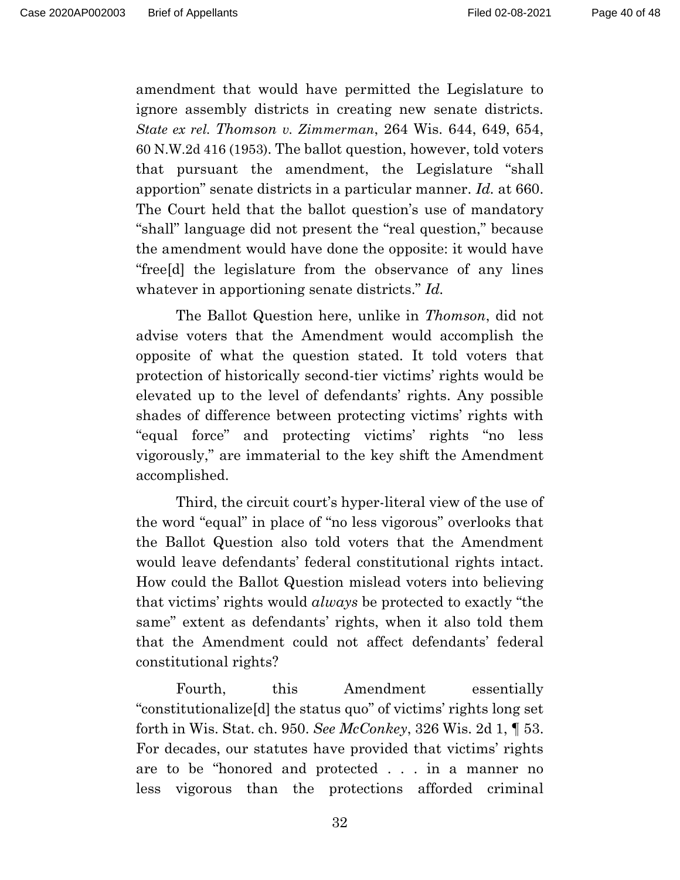amendment that would have permitted the Legislature to ignore assembly districts in creating new senate districts. *State ex rel. Thomson v. Zimmerman*, 264 Wis. 644, 649, 654, 60 N.W.2d 416 (1953). The ballot question, however, told voters that pursuant the amendment, the Legislature "shall apportion" senate districts in a particular manner. *Id.* at 660. The Court held that the ballot question's use of mandatory "shall" language did not present the "real question," because the amendment would have done the opposite: it would have "free[d] the legislature from the observance of any lines whatever in apportioning senate districts." *Id.* 

The Ballot Question here, unlike in *Thomson*, did not advise voters that the Amendment would accomplish the opposite of what the question stated. It told voters that protection of historically second-tier victims' rights would be elevated up to the level of defendants' rights. Any possible shades of difference between protecting victims' rights with "equal force" and protecting victims' rights "no less vigorously," are immaterial to the key shift the Amendment accomplished.

 Third, the circuit court's hyper-literal view of the use of the word "equal" in place of "no less vigorous" overlooks that the Ballot Question also told voters that the Amendment would leave defendants' federal constitutional rights intact. How could the Ballot Question mislead voters into believing that victims' rights would *always* be protected to exactly "the same" extent as defendants' rights, when it also told them that the Amendment could not affect defendants' federal constitutional rights?

Fourth, this Amendment essentially "constitutionalize[d] the status quo" of victims' rights long set forth in Wis. Stat. ch. 950. *See McConkey*, 326 Wis. 2d 1, ¶ 53. For decades, our statutes have provided that victims' rights are to be "honored and protected . . . in a manner no less vigorous than the protections afforded criminal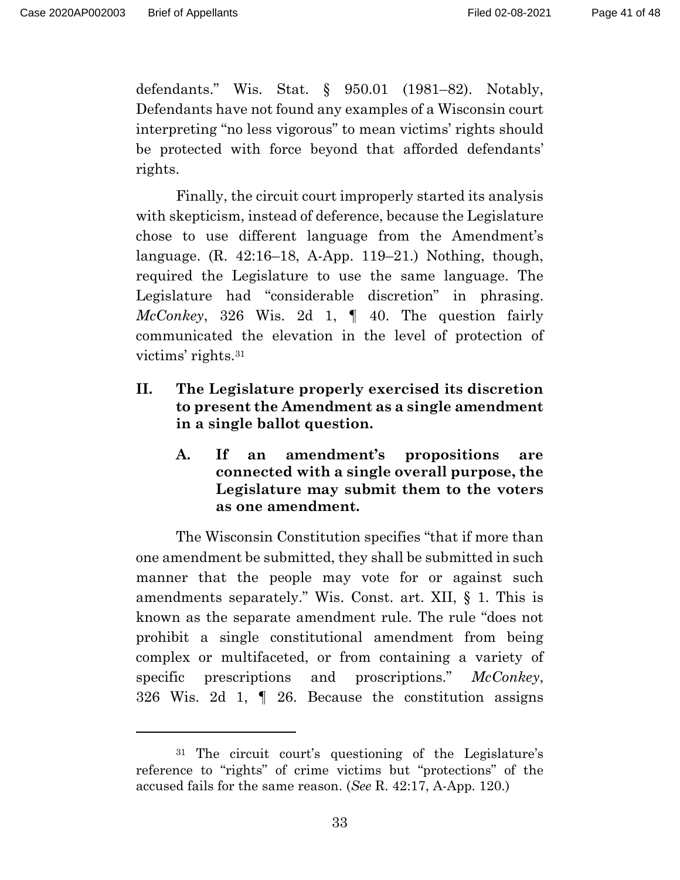defendants." Wis. Stat. § 950.01 (1981–82). Notably, Defendants have not found any examples of a Wisconsin court interpreting "no less vigorous" to mean victims' rights should be protected with force beyond that afforded defendants' rights.

 Finally, the circuit court improperly started its analysis with skepticism, instead of deference, because the Legislature chose to use different language from the Amendment's language. (R. 42:16–18, A-App. 119–21.) Nothing, though, required the Legislature to use the same language. The Legislature had "considerable discretion" in phrasing. *McConkey*, 326 Wis. 2d 1, ¶ 40. The question fairly communicated the elevation in the level of protection of victims' rights.31

- **II. The Legislature properly exercised its discretion to present the Amendment as a single amendment in a single ballot question.** 
	- **A. If an amendment's propositions are connected with a single overall purpose, the Legislature may submit them to the voters as one amendment.**

 The Wisconsin Constitution specifies "that if more than one amendment be submitted, they shall be submitted in such manner that the people may vote for or against such amendments separately." Wis. Const. art. XII, § 1. This is known as the separate amendment rule. The rule "does not prohibit a single constitutional amendment from being complex or multifaceted, or from containing a variety of specific prescriptions and proscriptions." *McConkey*, 326 Wis. 2d 1, ¶ 26. Because the constitution assigns

<sup>31</sup> The circuit court's questioning of the Legislature's reference to "rights" of crime victims but "protections" of the accused fails for the same reason. (*See* R. 42:17, A-App. 120.)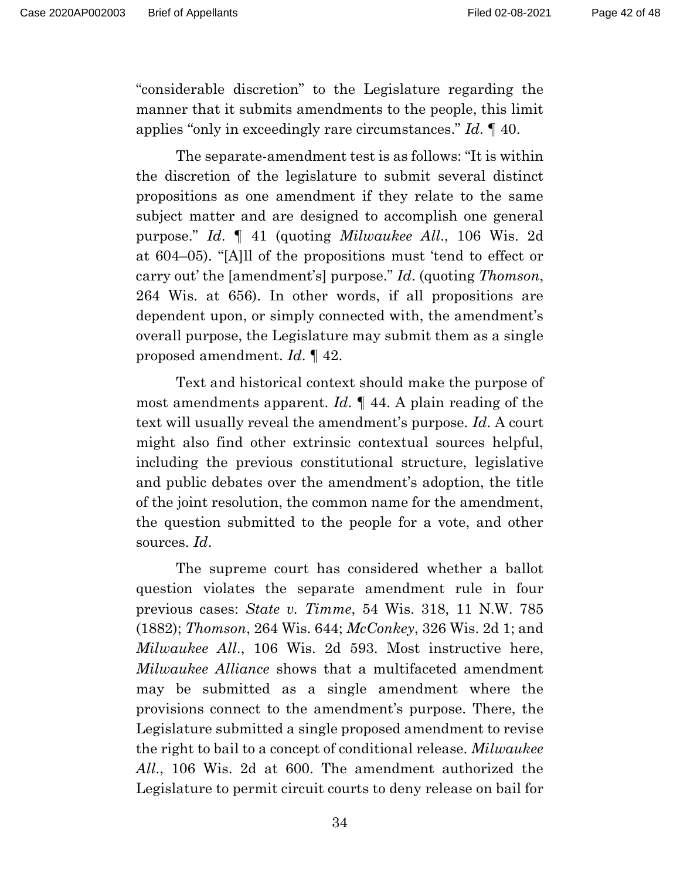"considerable discretion" to the Legislature regarding the manner that it submits amendments to the people, this limit applies "only in exceedingly rare circumstances." *Id*. ¶ 40.

 The separate-amendment test is as follows: "It is within the discretion of the legislature to submit several distinct propositions as one amendment if they relate to the same subject matter and are designed to accomplish one general purpose." *Id*. ¶ 41 (quoting *Milwaukee All*., 106 Wis. 2d at 604–05). "[A]ll of the propositions must 'tend to effect or carry out' the [amendment's] purpose." *Id*. (quoting *Thomson*, 264 Wis. at 656). In other words, if all propositions are dependent upon, or simply connected with, the amendment's overall purpose, the Legislature may submit them as a single proposed amendment. *Id*. ¶ 42.

 Text and historical context should make the purpose of most amendments apparent. *Id*. ¶ 44. A plain reading of the text will usually reveal the amendment's purpose. *Id*. A court might also find other extrinsic contextual sources helpful, including the previous constitutional structure, legislative and public debates over the amendment's adoption, the title of the joint resolution, the common name for the amendment, the question submitted to the people for a vote, and other sources. *Id*.

 The supreme court has considered whether a ballot question violates the separate amendment rule in four previous cases: *State v. Timme*, 54 Wis. 318, 11 N.W. 785 (1882); *Thomson*, 264 Wis. 644; *McConkey*, 326 Wis. 2d 1; and *Milwaukee All*., 106 Wis. 2d 593. Most instructive here, *Milwaukee Alliance* shows that a multifaceted amendment may be submitted as a single amendment where the provisions connect to the amendment's purpose. There, the Legislature submitted a single proposed amendment to revise the right to bail to a concept of conditional release. *Milwaukee All*., 106 Wis. 2d at 600. The amendment authorized the Legislature to permit circuit courts to deny release on bail for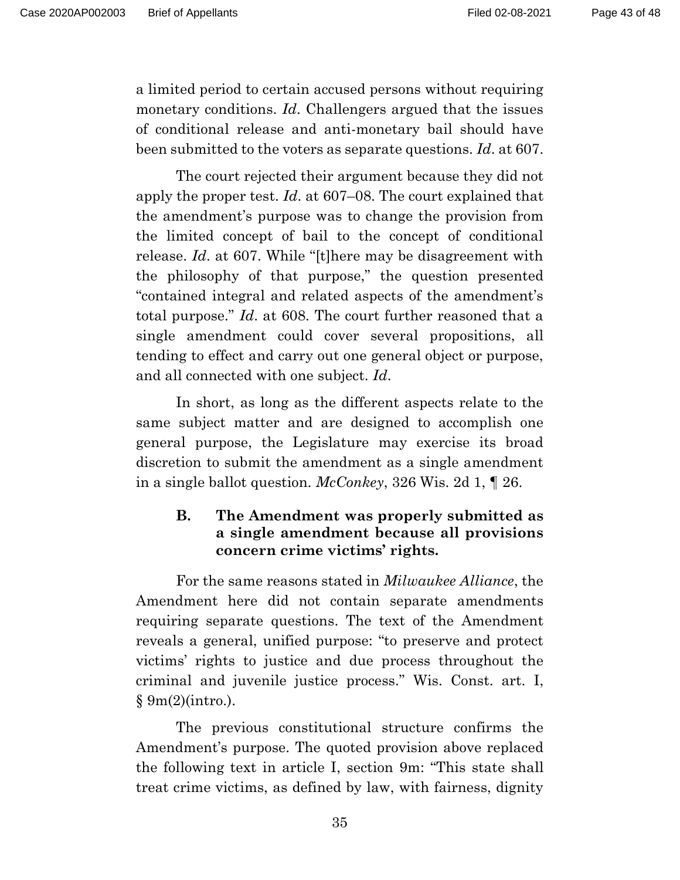a limited period to certain accused persons without requiring monetary conditions. *Id*. Challengers argued that the issues of conditional release and anti-monetary bail should have been submitted to the voters as separate questions. *Id*. at 607.

 The court rejected their argument because they did not apply the proper test. *Id*. at 607–08. The court explained that the amendment's purpose was to change the provision from the limited concept of bail to the concept of conditional release. *Id*. at 607. While "[t]here may be disagreement with the philosophy of that purpose," the question presented "contained integral and related aspects of the amendment's total purpose." *Id*. at 608. The court further reasoned that a single amendment could cover several propositions, all tending to effect and carry out one general object or purpose, and all connected with one subject. *Id*.

 In short, as long as the different aspects relate to the same subject matter and are designed to accomplish one general purpose, the Legislature may exercise its broad discretion to submit the amendment as a single amendment in a single ballot question. *McConkey*, 326 Wis. 2d 1, ¶ 26.

## **B. The Amendment was properly submitted as a single amendment because all provisions concern crime victims' rights.**

 For the same reasons stated in *Milwaukee Alliance*, the Amendment here did not contain separate amendments requiring separate questions. The text of the Amendment reveals a general, unified purpose: "to preserve and protect victims' rights to justice and due process throughout the criminal and juvenile justice process." Wis. Const. art. I, § 9m(2)(intro.).

 The previous constitutional structure confirms the Amendment's purpose. The quoted provision above replaced the following text in article I, section 9m: "This state shall treat crime victims, as defined by law, with fairness, dignity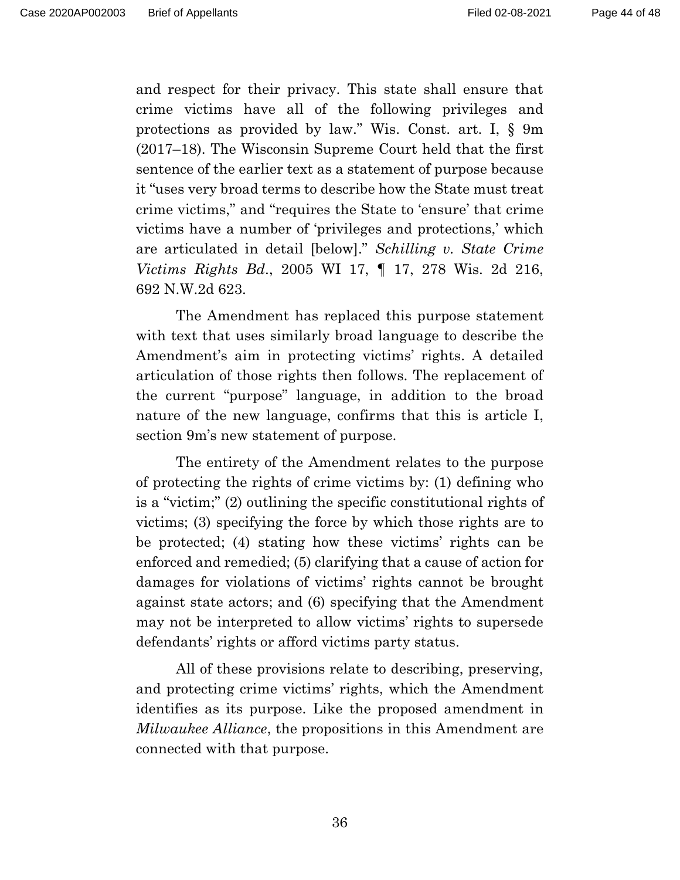Page 44 of 48

and respect for their privacy. This state shall ensure that crime victims have all of the following privileges and protections as provided by law." Wis. Const. art. I, § 9m (2017–18). The Wisconsin Supreme Court held that the first sentence of the earlier text as a statement of purpose because it "uses very broad terms to describe how the State must treat crime victims," and "requires the State to 'ensure' that crime victims have a number of 'privileges and protections,' which are articulated in detail [below]." *Schilling v. State Crime Victims Rights Bd*., 2005 WI 17, ¶ 17, 278 Wis. 2d 216, 692 N.W.2d 623.

 The Amendment has replaced this purpose statement with text that uses similarly broad language to describe the Amendment's aim in protecting victims' rights. A detailed articulation of those rights then follows. The replacement of the current "purpose" language, in addition to the broad nature of the new language, confirms that this is article I, section 9m's new statement of purpose.

 The entirety of the Amendment relates to the purpose of protecting the rights of crime victims by: (1) defining who is a "victim;" (2) outlining the specific constitutional rights of victims; (3) specifying the force by which those rights are to be protected; (4) stating how these victims' rights can be enforced and remedied; (5) clarifying that a cause of action for damages for violations of victims' rights cannot be brought against state actors; and (6) specifying that the Amendment may not be interpreted to allow victims' rights to supersede defendants' rights or afford victims party status.

 All of these provisions relate to describing, preserving, and protecting crime victims' rights, which the Amendment identifies as its purpose. Like the proposed amendment in *Milwaukee Alliance*, the propositions in this Amendment are connected with that purpose.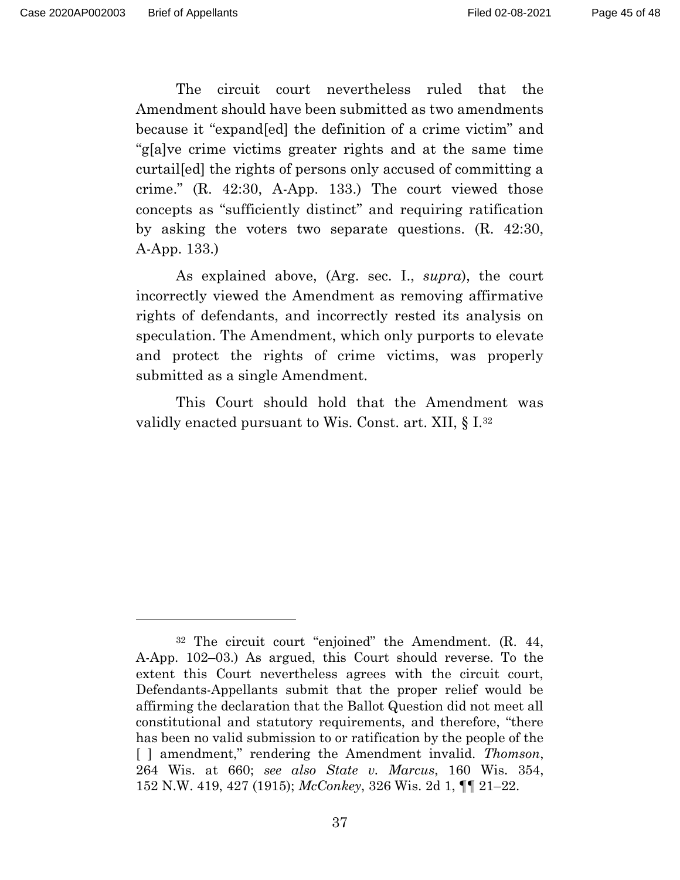The circuit court nevertheless ruled that the Amendment should have been submitted as two amendments because it "expand[ed] the definition of a crime victim" and "g[a]ve crime victims greater rights and at the same time curtail[ed] the rights of persons only accused of committing a crime." (R. 42:30, A-App. 133.) The court viewed those concepts as "sufficiently distinct" and requiring ratification by asking the voters two separate questions. (R. 42:30, A-App. 133.)

 As explained above, (Arg. sec. I., *supra*), the court incorrectly viewed the Amendment as removing affirmative rights of defendants, and incorrectly rested its analysis on speculation. The Amendment, which only purports to elevate and protect the rights of crime victims, was properly submitted as a single Amendment.

 This Court should hold that the Amendment was validly enacted pursuant to Wis. Const. art. XII, § I.32

<sup>32</sup> The circuit court "enjoined" the Amendment. (R. 44, A-App. 102–03.) As argued, this Court should reverse. To the extent this Court nevertheless agrees with the circuit court, Defendants-Appellants submit that the proper relief would be affirming the declaration that the Ballot Question did not meet all constitutional and statutory requirements, and therefore, "there has been no valid submission to or ratification by the people of the [ ] amendment," rendering the Amendment invalid. *Thomson*, 264 Wis. at 660; *see also State v. Marcus*, 160 Wis. 354, 152 N.W. 419, 427 (1915); *McConkey*, 326 Wis. 2d 1, ¶¶ 21–22.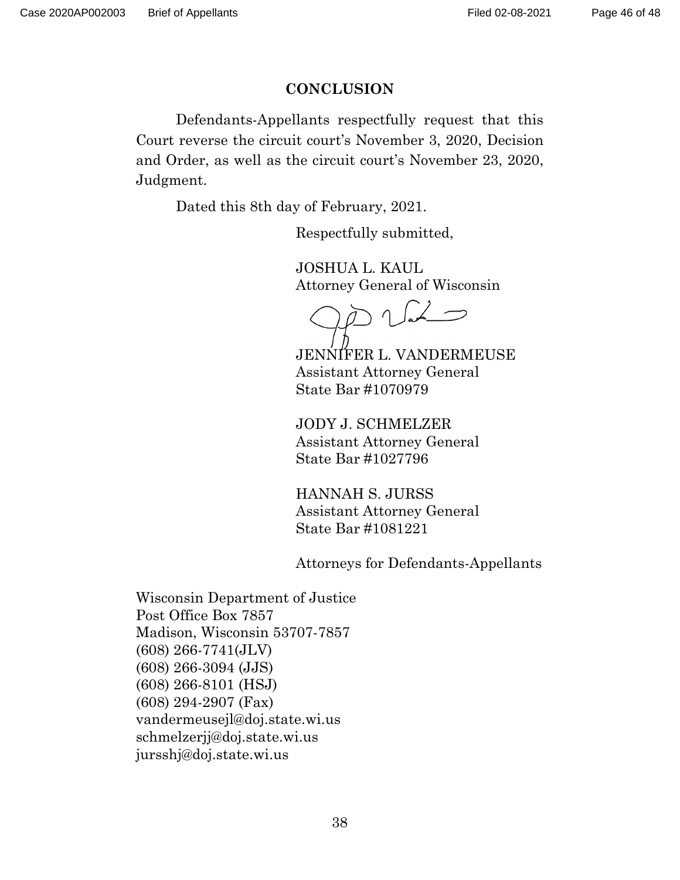#### **CONCLUSION**

 Defendants-Appellants respectfully request that this Court reverse the circuit court's November 3, 2020, Decision and Order, as well as the circuit court's November 23, 2020, Judgment.

Dated this 8th day of February, 2021.

Respectfully submitted,

 JOSHUA L. KAUL Attorney General of Wisconsin

JENNIFER L. VANDERMEUSE Assistant Attorney General State Bar #1070979

 JODY J. SCHMELZER Assistant Attorney General State Bar #1027796

 HANNAH S. JURSS Assistant Attorney General State Bar #1081221

Attorneys for Defendants-Appellants

Wisconsin Department of Justice Post Office Box 7857 Madison, Wisconsin 53707-7857 (608) 266-7741(JLV) (608) 266-3094 (JJS) (608) 266-8101 (HSJ) (608) 294-2907 (Fax) vandermeusejl@doj.state.wi.us schmelzerjj@doj.state.wi.us jursshj@doj.state.wi.us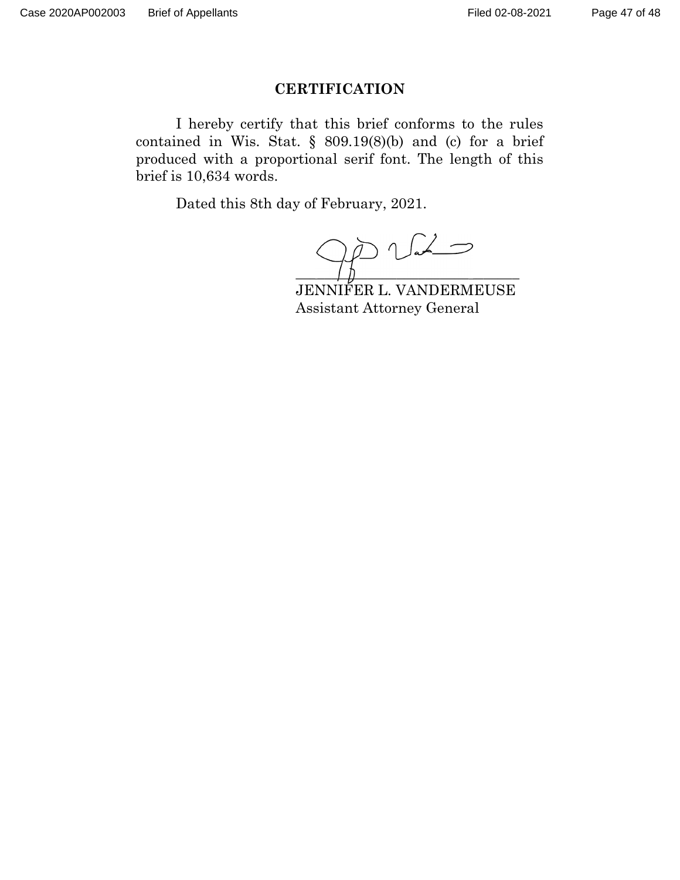#### **CERTIFICATION**

 I hereby certify that this brief conforms to the rules contained in Wis. Stat. § 809.19(8)(b) and (c) for a brief produced with a proportional serif font. The length of this brief is 10,634 words.

Dated this 8th day of February, 2021.

 $D\vee\vee$  $\overline{\phantom{a}}$  ,  $\overline{\phantom{a}}$  ,  $\overline{\phantom{a}}$  ,  $\overline{\phantom{a}}$  ,  $\overline{\phantom{a}}$  ,  $\overline{\phantom{a}}$  ,  $\overline{\phantom{a}}$  ,  $\overline{\phantom{a}}$  ,  $\overline{\phantom{a}}$  ,  $\overline{\phantom{a}}$  ,  $\overline{\phantom{a}}$  ,  $\overline{\phantom{a}}$  ,  $\overline{\phantom{a}}$  ,  $\overline{\phantom{a}}$  ,  $\overline{\phantom{a}}$  ,  $\overline{\phantom{a}}$  $\blacksquare$ 

 JENNIFER L. VANDERMEUSE Assistant Attorney General